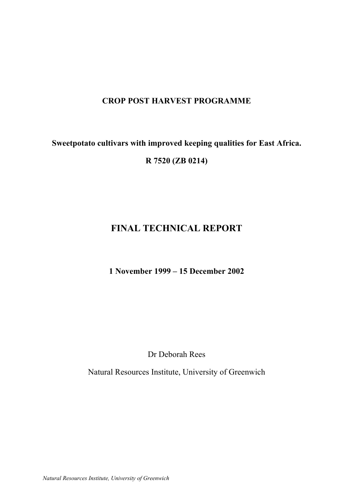# **CROP POST HARVEST PROGRAMME**

# **Sweetpotato cultivars with improved keeping qualities for East Africa. R 7520 (ZB 0214)**

# **FINAL TECHNICAL REPORT**

# **1 November 1999 – 15 December 2002**

Dr Deborah Rees

Natural Resources Institute, University of Greenwich

*Natural Resources Institute, University of Greenwich*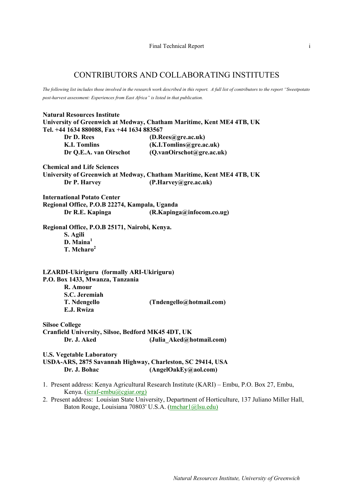# CONTRIBUTORS AND COLLABORATING INSTITUTES

*The following list includes those involved in the research work described in this report. A full list of contributors to the report "Sweetpotato post-harvest assessment: Experiences from East Africa" is listed in that publication.* 

| <b>Natural Resources Institute</b>                                                                                                                            |                                                                                             |  |  |  |  |  |
|---------------------------------------------------------------------------------------------------------------------------------------------------------------|---------------------------------------------------------------------------------------------|--|--|--|--|--|
| University of Greenwich at Medway, Chatham Maritime, Kent ME4 4TB, UK                                                                                         |                                                                                             |  |  |  |  |  |
| Tel. +44 1634 880088, Fax +44 1634 883567                                                                                                                     |                                                                                             |  |  |  |  |  |
| Dr D. Rees                                                                                                                                                    | (D.Rees@gre.ac.uk)                                                                          |  |  |  |  |  |
| <b>K.I. Tomlins</b>                                                                                                                                           | (K.I.Tomlins@gre.ac.uk)                                                                     |  |  |  |  |  |
| Dr Q.E.A. van Oirschot                                                                                                                                        | (Q.vanOirschot@gre.ac.uk)                                                                   |  |  |  |  |  |
| <b>Chemical and Life Sciences</b>                                                                                                                             |                                                                                             |  |  |  |  |  |
|                                                                                                                                                               | University of Greenwich at Medway, Chatham Maritime, Kent ME4 4TB, UK                       |  |  |  |  |  |
| Dr P. Harvey                                                                                                                                                  | (P.Harvey@gre.ac.uk)                                                                        |  |  |  |  |  |
| <b>International Potato Center</b>                                                                                                                            |                                                                                             |  |  |  |  |  |
| Regional Office, P.O.B 22274, Kampala, Uganda                                                                                                                 |                                                                                             |  |  |  |  |  |
| Dr R.E. Kapinga                                                                                                                                               | (R.Kapinga@infocom.co.ug)                                                                   |  |  |  |  |  |
| Regional Office, P.O.B 25171, Nairobi, Kenya.                                                                                                                 |                                                                                             |  |  |  |  |  |
| S. Agili                                                                                                                                                      |                                                                                             |  |  |  |  |  |
| $D.$ Maina <sup>1</sup>                                                                                                                                       |                                                                                             |  |  |  |  |  |
| T. Mcharo <sup>2</sup>                                                                                                                                        |                                                                                             |  |  |  |  |  |
| LZARDI-Ukiriguru (formally ARI-Ukiriguru)<br>P.O. Box 1433, Mwanza, Tanzania<br>R. Amour<br>S.C. Jeremiah<br>T. Ndengello<br>E.J. Rwiza                       | (Tndengello@hotmail.com)                                                                    |  |  |  |  |  |
| <b>Silsoe College</b>                                                                                                                                         |                                                                                             |  |  |  |  |  |
| Cranfield University, Silsoe, Bedford MK45 4DT, UK                                                                                                            |                                                                                             |  |  |  |  |  |
| Dr. J. Aked                                                                                                                                                   | (Julia Aked@hotmail.com)                                                                    |  |  |  |  |  |
| <b>U.S. Vegetable Laboratory</b><br>USDA-ARS, 2875 Savannah Highway, Charleston, SC 29414, USA<br>Dr. J. Bohac                                                | (AngelOakEy@aol.com)                                                                        |  |  |  |  |  |
| Kenya. (icraf-embu@cgiar.org)                                                                                                                                 | 1. Present address: Kenya Agricultural Research Institute (KARI) – Embu, P.O. Box 27, Embu, |  |  |  |  |  |
| 2. Present address: Louisian State University, Department of Horticulture, 137 Juliano Miller Hall,<br>Baton Rouge, Louisiana 70803' U.S.A. (tmcharl@lsu.edu) |                                                                                             |  |  |  |  |  |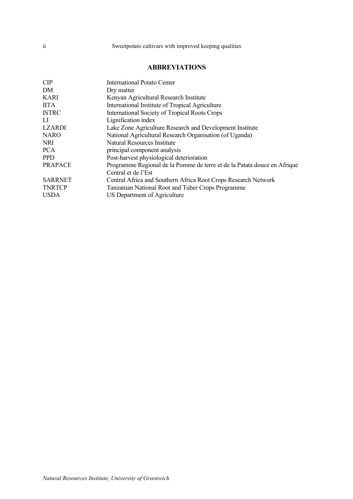### **ABBREVIATIONS**

| CIP            | International Potato Center                                              |
|----------------|--------------------------------------------------------------------------|
| DM             | Dry matter                                                               |
| <b>KARI</b>    | Kenyan Agricultural Research Institute                                   |
| <b>IITA</b>    | International Institute of Tropical Agriculture                          |
| <b>ISTRC</b>   | International Society of Tropical Roots Crops                            |
| LІ             | Lignification index                                                      |
| <b>LZARDI</b>  | Lake Zone Agriculture Research and Development Institute                 |
| <b>NARO</b>    | National Agricultural Research Organisation (of Uganda)                  |
| <b>NRI</b>     | Natural Resources Institute                                              |
| <b>PCA</b>     | principal component analysis                                             |
| <b>PPD</b>     | Post-harvest physiological deterioration                                 |
| <b>PRAPACE</b> | Programme Regional de la Pomme de terre et de la Patata douce en Afrique |
|                | Central et de l'Est                                                      |
| <b>SARRNET</b> | Central Africa and Southern Africa Root Crops Research Network           |
| <b>TNRTCP</b>  | Tanzanian National Root and Tuber Crops Programme                        |
| <b>USDA</b>    | US Department of Agriculture                                             |
|                |                                                                          |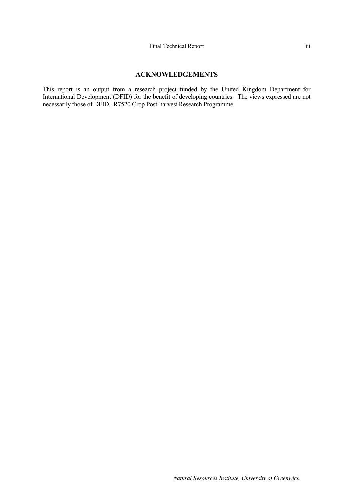#### **ACKNOWLEDGEMENTS**

This report is an output from a research project funded by the United Kingdom Department for International Development (DFID) for the benefit of developing countries. The views expressed are not necessarily those of DFID. R7520 Crop Post-harvest Research Programme.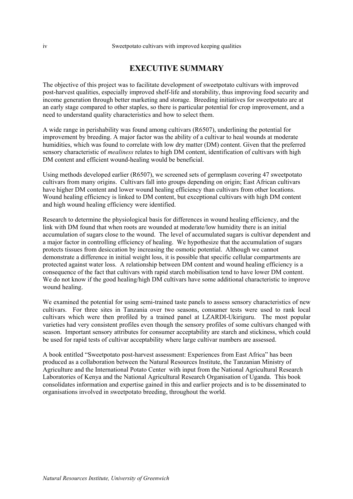#### Sweetpotato cultivars with improved keeping qualities

# **EXECUTIVE SUMMARY**

The objective of this project was to facilitate development of sweetpotato cultivars with improved post-harvest qualities, especially improved shelf-life and storability, thus improving food security and income generation through better marketing and storage. Breeding initiatives for sweetpotato are at an early stage compared to other staples, so there is particular potential for crop improvement, and a need to understand quality characteristics and how to select them.

A wide range in perishability was found among cultivars (R6507), underlining the potential for improvement by breeding. A major factor was the ability of a cultivar to heal wounds at moderate humidities, which was found to correlate with low dry matter (DM) content. Given that the preferred sensory characteristic of *mealiness* relates to high DM content, identification of cultivars with high DM content and efficient wound-healing would be beneficial.

Using methods developed earlier (R6507), we screened sets of germplasm covering 47 sweetpotato cultivars from many origins. Cultivars fall into groups depending on origin; East African cultivars have higher DM content and lower wound healing efficiency than cultivars from other locations. Wound healing efficiency is linked to DM content, but exceptional cultivars with high DM content and high wound healing efficiency were identified.

Research to determine the physiological basis for differences in wound healing efficiency, and the link with DM found that when roots are wounded at moderate/low humidity there is an initial accumulation of sugars close to the wound. The level of accumulated sugars is cultivar dependent and a major factor in controlling efficiency of healing. We hypothesize that the accumulation of sugars protects tissues from desiccation by increasing the osmotic potential. Although we cannot demonstrate a difference in initial weight loss, it is possible that specific cellular compartments are protected against water loss. A relationship between DM content and wound healing efficiency is a consequence of the fact that cultivars with rapid starch mobilisation tend to have lower DM content. We do not know if the good healing/high DM cultivars have some additional characteristic to improve wound healing.

We examined the potential for using semi-trained taste panels to assess sensory characteristics of new cultivars. For three sites in Tanzania over two seasons, consumer tests were used to rank local cultivars which were then profiled by a trained panel at LZARDI-Ukiriguru. The most popular varieties had very consistent profiles even though the sensory profiles of some cultivars changed with season. Important sensory attributes for consumer acceptability are starch and stickiness, which could be used for rapid tests of cultivar acceptability where large cultivar numbers are assessed.

A book entitled "Sweetpotato post-harvest assessment: Experiences from East Africa" has been produced as a collaboration between the Natural Resources Institute, the Tanzanian Ministry of Agriculture and the International Potato Center with input from the National Agricultural Research Laboratories of Kenya and the National Agricultural Research Organisation of Uganda. This book consolidates information and expertise gained in this and earlier projects and is to be disseminated to organisations involved in sweetpotato breeding, throughout the world.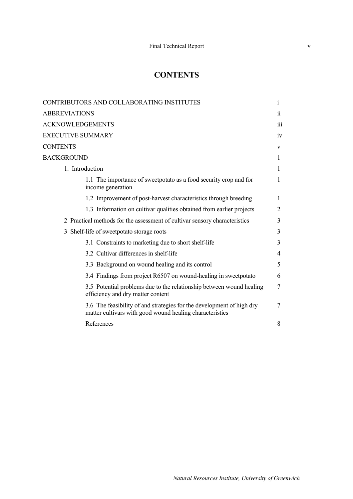# **CONTENTS**

| CONTRIBUTORS AND COLLABORATING INSTITUTES                                                                                         | 1                       |
|-----------------------------------------------------------------------------------------------------------------------------------|-------------------------|
| <b>ABBREVIATIONS</b>                                                                                                              | $\overline{\mathbf{1}}$ |
| <b>ACKNOWLEDGEMENTS</b>                                                                                                           | 111                     |
| <b>EXECUTIVE SUMMARY</b>                                                                                                          | iv                      |
| <b>CONTENTS</b>                                                                                                                   | V                       |
| <b>BACKGROUND</b>                                                                                                                 | 1                       |
| 1. Introduction                                                                                                                   | 1                       |
| 1.1 The importance of sweetpotato as a food security crop and for<br>income generation                                            | 1                       |
| 1.2 Improvement of post-harvest characteristics through breeding                                                                  | 1                       |
| 1.3 Information on cultivar qualities obtained from earlier projects                                                              | 2                       |
| 2 Practical methods for the assessment of cultivar sensory characteristics                                                        | 3                       |
| 3 Shelf-life of sweetpotato storage roots                                                                                         | 3                       |
| 3.1 Constraints to marketing due to short shelf-life                                                                              | 3                       |
| 3.2 Cultivar differences in shelf-life                                                                                            | 4                       |
| 3.3 Background on wound healing and its control                                                                                   | 5                       |
| 3.4 Findings from project R6507 on wound-healing in sweetpotato                                                                   | 6                       |
| 3.5 Potential problems due to the relationship between wound healing<br>efficiency and dry matter content                         | 7                       |
| 3.6 The feasibility of and strategies for the development of high dry<br>matter cultivars with good wound healing characteristics | 7                       |
| References                                                                                                                        | 8                       |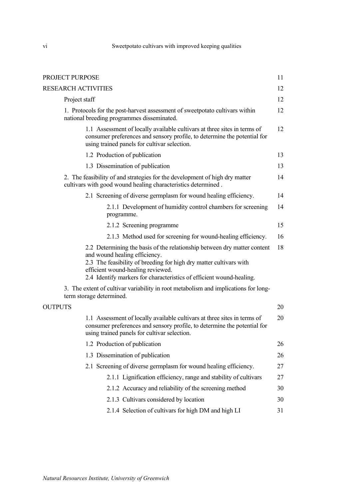# Sweetpotato cultivars with improved keeping qualities

|                | PROJECT PURPOSE                                                                                                                                                                                                                                                                              | 11 |
|----------------|----------------------------------------------------------------------------------------------------------------------------------------------------------------------------------------------------------------------------------------------------------------------------------------------|----|
|                | <b>RESEARCH ACTIVITIES</b>                                                                                                                                                                                                                                                                   | 12 |
|                | Project staff                                                                                                                                                                                                                                                                                | 12 |
|                | 1. Protocols for the post-harvest assessment of sweetpotato cultivars within<br>national breeding programmes disseminated.                                                                                                                                                                   | 12 |
|                | 1.1 Assessment of locally available cultivars at three sites in terms of<br>consumer preferences and sensory profile, to determine the potential for<br>using trained panels for cultivar selection.                                                                                         | 12 |
|                | 1.2 Production of publication                                                                                                                                                                                                                                                                | 13 |
|                | 1.3 Dissemination of publication                                                                                                                                                                                                                                                             | 13 |
|                | 2. The feasibility of and strategies for the development of high dry matter<br>cultivars with good wound healing characteristics determined.                                                                                                                                                 | 14 |
|                | 2.1 Screening of diverse germplasm for wound healing efficiency.                                                                                                                                                                                                                             | 14 |
|                | 2.1.1 Development of humidity control chambers for screening<br>programme.                                                                                                                                                                                                                   | 14 |
|                | 2.1.2 Screening programme                                                                                                                                                                                                                                                                    | 15 |
|                | 2.1.3 Method used for screening for wound-healing efficiency.                                                                                                                                                                                                                                | 16 |
|                | 2.2 Determining the basis of the relationship between dry matter content<br>and wound healing efficiency.<br>2.3 The feasibility of breeding for high dry matter cultivars with<br>efficient wound-healing reviewed.<br>2.4 Identify markers for characteristics of efficient wound-healing. | 18 |
|                | 3. The extent of cultivar variability in root metabolism and implications for long-<br>term storage determined.                                                                                                                                                                              |    |
| <b>OUTPUTS</b> |                                                                                                                                                                                                                                                                                              | 20 |
|                | 1.1 Assessment of locally available cultivars at three sites in terms of<br>consumer preferences and sensory profile, to determine the potential for<br>using trained panels for cultivar selection.                                                                                         | 20 |
|                | 1.2 Production of publication                                                                                                                                                                                                                                                                | 26 |
|                | 1.3 Dissemination of publication                                                                                                                                                                                                                                                             | 26 |
|                | 2.1 Screening of diverse germplasm for wound healing efficiency.                                                                                                                                                                                                                             | 27 |
|                | 2.1.1 Lignification efficiency, range and stability of cultivars                                                                                                                                                                                                                             | 27 |
|                | 2.1.2 Accuracy and reliability of the screening method                                                                                                                                                                                                                                       | 30 |
|                | 2.1.3 Cultivars considered by location                                                                                                                                                                                                                                                       | 30 |
|                | 2.1.4 Selection of cultivars for high DM and high LI                                                                                                                                                                                                                                         | 31 |
|                |                                                                                                                                                                                                                                                                                              |    |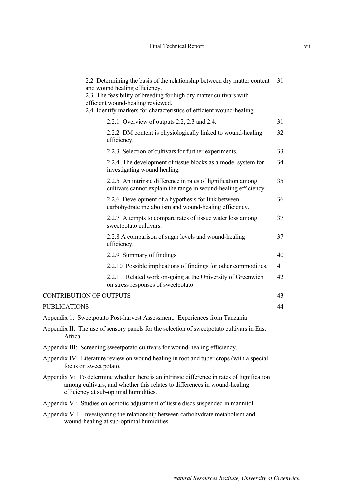|                                                                                                                                                                                                                   | 2.2 Determining the basis of the relationship between dry matter content<br>and wound healing efficiency.<br>2.3 The feasibility of breeding for high dry matter cultivars with<br>efficient wound-healing reviewed.<br>2.4 Identify markers for characteristics of efficient wound-healing. | 31 |  |  |  |  |
|-------------------------------------------------------------------------------------------------------------------------------------------------------------------------------------------------------------------|----------------------------------------------------------------------------------------------------------------------------------------------------------------------------------------------------------------------------------------------------------------------------------------------|----|--|--|--|--|
|                                                                                                                                                                                                                   | 2.2.1 Overview of outputs 2.2, 2.3 and 2.4.                                                                                                                                                                                                                                                  | 31 |  |  |  |  |
|                                                                                                                                                                                                                   | 2.2.2 DM content is physiologically linked to wound-healing<br>efficiency.                                                                                                                                                                                                                   | 32 |  |  |  |  |
|                                                                                                                                                                                                                   | 2.2.3 Selection of cultivars for further experiments.                                                                                                                                                                                                                                        | 33 |  |  |  |  |
|                                                                                                                                                                                                                   | 2.2.4 The development of tissue blocks as a model system for<br>investigating wound healing.                                                                                                                                                                                                 | 34 |  |  |  |  |
|                                                                                                                                                                                                                   | 2.2.5 An intrinsic difference in rates of lignification among<br>cultivars cannot explain the range in wound-healing efficiency.                                                                                                                                                             | 35 |  |  |  |  |
|                                                                                                                                                                                                                   | 2.2.6 Development of a hypothesis for link between<br>carbohydrate metabolism and wound-healing efficiency.                                                                                                                                                                                  | 36 |  |  |  |  |
|                                                                                                                                                                                                                   | 2.2.7 Attempts to compare rates of tissue water loss among<br>sweetpotato cultivars.                                                                                                                                                                                                         | 37 |  |  |  |  |
|                                                                                                                                                                                                                   | 2.2.8 A comparison of sugar levels and wound-healing<br>efficiency.                                                                                                                                                                                                                          | 37 |  |  |  |  |
|                                                                                                                                                                                                                   | 2.2.9 Summary of findings                                                                                                                                                                                                                                                                    | 40 |  |  |  |  |
|                                                                                                                                                                                                                   | 2.2.10 Possible implications of findings for other commodities.                                                                                                                                                                                                                              | 41 |  |  |  |  |
|                                                                                                                                                                                                                   | 2.2.11 Related work on-going at the University of Greenwich<br>on stress responses of sweetpotato                                                                                                                                                                                            | 42 |  |  |  |  |
| <b>CONTRIBUTION OF OUTPUTS</b>                                                                                                                                                                                    |                                                                                                                                                                                                                                                                                              | 43 |  |  |  |  |
| <b>PUBLICATIONS</b>                                                                                                                                                                                               |                                                                                                                                                                                                                                                                                              | 44 |  |  |  |  |
|                                                                                                                                                                                                                   | Appendix 1: Sweetpotato Post-harvest Assessment: Experiences from Tanzania                                                                                                                                                                                                                   |    |  |  |  |  |
| Africa                                                                                                                                                                                                            | Appendix II: The use of sensory panels for the selection of sweetpotato cultivars in East                                                                                                                                                                                                    |    |  |  |  |  |
|                                                                                                                                                                                                                   | Appendix III: Screening sweetpotato cultivars for wound-healing efficiency.                                                                                                                                                                                                                  |    |  |  |  |  |
| focus on sweet potato.                                                                                                                                                                                            | Appendix IV: Literature review on wound healing in root and tuber crops (with a special                                                                                                                                                                                                      |    |  |  |  |  |
| Appendix V: To determine whether there is an intrinsic difference in rates of lignification<br>among cultivars, and whether this relates to differences in wound-healing<br>efficiency at sub-optimal humidities. |                                                                                                                                                                                                                                                                                              |    |  |  |  |  |
| Appendix VI: Studies on osmotic adjustment of tissue discs suspended in mannitol.                                                                                                                                 |                                                                                                                                                                                                                                                                                              |    |  |  |  |  |
| Appendix VII: Investigating the relationship between carbohydrate metabolism and<br>wound-healing at sub-optimal humidities.                                                                                      |                                                                                                                                                                                                                                                                                              |    |  |  |  |  |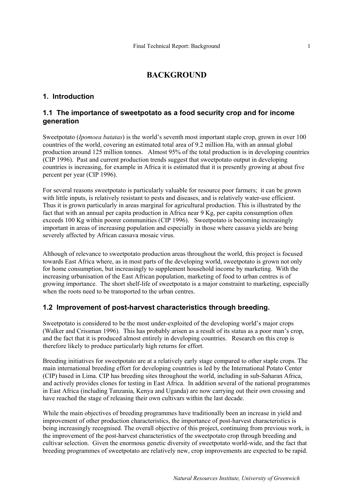# **BACKGROUND**

### **1. Introduction**

### **1.1 The importance of sweetpotato as a food security crop and for income generation**

Sweetpotato (*Ipomoea batatas*) is the world's seventh most important staple crop, grown in over 100 countries of the world, covering an estimated total area of 9.2 million Ha, with an annual global production around 125 million tonnes. Almost 95% of the total production is in developing countries (CIP 1996). Past and current production trends suggest that sweetpotato output in developing countries is increasing, for example in Africa it is estimated that it is presently growing at about five percent per year (CIP 1996).

For several reasons sweetpotato is particularly valuable for resource poor farmers; it can be grown with little inputs, is relatively resistant to pests and diseases, and is relatively water-use efficient. Thus it is grown particularly in areas marginal for agricultural production. This is illustrated by the fact that with an annual per capita production in Africa near 9 Kg, per capita consumption often exceeds 100 Kg within poorer communities (CIP 1996). Sweetpotato is becoming increasingly important in areas of increasing population and especially in those where cassava yields are being severely affected by African cassava mosaic virus.

Although of relevance to sweetpotato production areas throughout the world, this project is focused towards East Africa where, as in most parts of the developing world, sweetpotato is grown not only for home consumption, but increasingly to supplement household income by marketing. With the increasing urbanisation of the East African population, marketing of food to urban centres is of growing importance. The short shelf-life of sweetpotato is a major constraint to marketing, especially when the roots need to be transported to the urban centres.

# **1.2 Improvement of post-harvest characteristics through breeding.**

Sweetpotato is considered to be the most under-exploited of the developing world's major crops (Walker and Crissman 1996). This has probably arisen as a result of its status as a poor man's crop, and the fact that it is produced almost entirely in developing countries. Research on this crop is therefore likely to produce particularly high returns for effort.

Breeding initiatives for sweetpotato are at a relatively early stage compared to other staple crops. The main international breeding effort for developing countries is led by the International Potato Center (CIP) based in Lima. CIP has breeding sites throughout the world, including in sub-Saharan Africa, and actively provides clones for testing in East Africa. In addition several of the national programmes in East Africa (including Tanzania, Kenya and Uganda) are now carrying out their own crossing and have reached the stage of releasing their own cultivars within the last decade.

While the main objectives of breeding programmes have traditionally been an increase in yield and improvement of other production characteristics, the importance of post-harvest characteristics is being increasingly recognised. The overall objective of this project, continuing from previous work, is the improvement of the post-harvest characteristics of the sweetpotato crop through breeding and cultivar selection. Given the enormous genetic diversity of sweetpotato world-wide, and the fact that breeding programmes of sweetpotato are relatively new, crop improvements are expected to be rapid.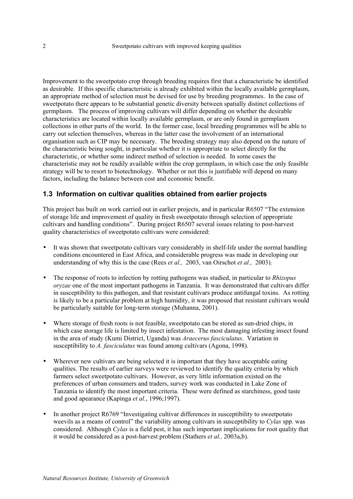Improvement to the sweetpotato crop through breeding requires first that a characteristic be identified as desirable. If this specific characteristic is already exhibited within the locally available germplasm, an appropriate method of selection must be devised for use by breeding programmes. In the case of sweetpotato there appears to be substantial genetic diversity between spatially distinct collections of germplasm. The process of improving cultivars will differ depending on whether the desirable characteristics are located within locally available germplasm, or are only found in germplasm collections in other parts of the world. In the former case, local breeding programmes will be able to carry out selection themselves, whereas in the latter case the involvement of an international organisation such as CIP may be necessary. The breeding strategy may also depend on the nature of the characteristic being sought, in particular whether it is appropriate to select directly for the characteristic, or whether some indirect method of selection is needed. In some cases the characteristic may not be readily available within the crop germplasm, in which case the only feasible strategy will be to resort to biotechnology. Whether or not this is justifiable will depend on many factors, including the balance between cost and economic benefit.

### **1.3 Information on cultivar qualities obtained from earlier projects**

This project has built on work carried out in earlier projects, and in particular R6507 "The extension of storage life and improvement of quality in fresh sweetpotato through selection of appropriate cultivars and handling conditions". During project R6507 several issues relating to post-harvest quality characteristics of sweetpotato cultivars were considered:

- It was shown that sweetpotato cultivars vary considerably in shelf-life under the normal handling conditions encountered in East Africa, and considerable progress was made in developing our understanding of why this is the case (Rees *et al.,* 2003, van Oirschot *et al.,* 2003).
- The response of roots to infection by rotting pathogens was studied, in particular to *Rhizopus oryzae* one of the most important pathogens in Tanzania. It was demonstrated that cultivars differ in susceptibility to this pathogen, and that resistant cultivars produce antifungal toxins. As rotting is likely to be a particular problem at high humidity, it was proposed that resistant cultivars would be particularly suitable for long-term storage (Muhanna, 2001).
- Where storage of fresh roots is not feasible, sweetpotato can be stored as sun-dried chips, in which case storage life is limited by insect infestation. The most damaging infesting insect found in the area of study (Kumi District, Uganda) was *Araecerus fasciculatus*. Variation in susceptibility to *A. fasciculatus* was found among cultivars (Agona, 1998).
- Wherever new cultivars are being selected it is important that they have acceptable eating qualities. The results of earlier surveys were reviewed to identify the quality criteria by which farmers select sweetpotato cultivars. However, as very little information existed on the preferences of urban consumers and traders, survey work was conducted in Lake Zone of Tanzania to identify the most important criteria. These were defined as starchiness, good taste and good apearance (Kapinga *et al.*, 1996;1997).
- In another project R6769 "Investigating cultivar differences in susceptibility to sweetpotato weevils as a means of control" the variability among cultivars in susceptibility to *Cylas* spp. was considered. Although *Cylas* is a field pest, it has such important implications for root quality that it would be considered as a post-harvest problem (Stathers *et al.,* 2003a,b).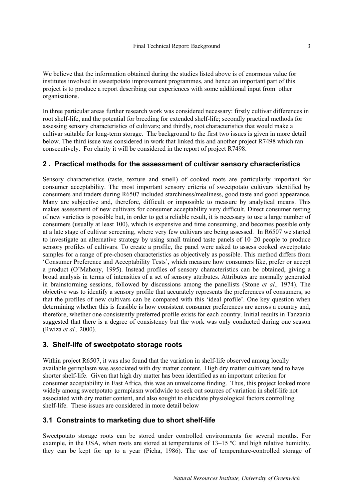We believe that the information obtained during the studies listed above is of enormous value for institutes involved in sweetpotato improvement programmes, and hence an important part of this project is to produce a report describing our experiences with some additional input from other organisations.

In three particular areas further research work was considered necessary: firstly cultivar differences in root shelf-life, and the potential for breeding for extended shelf-life; secondly practical methods for assessing sensory characteristics of cultivars; and thirdly, root characteristics that would make a cultivar suitable for long-term storage. The background to the first two issues is given in more detail below. The third issue was considered in work that linked this and another project R7498 which ran consecutively. For clarity it will be considered in the report of project R7498.

### **2 . Practical methods for the assessment of cultivar sensory characteristics**

Sensory characteristics (taste, texture and smell) of cooked roots are particularly important for consumer acceptability. The most important sensory criteria of sweetpotato cultivars identified by consumers and traders during R6507 included starchiness/mealiness, good taste and good appearance. Many are subjective and, therefore, difficult or impossible to measure by analytical means. This makes assessment of new cultivars for consumer acceptability very difficult. Direct consumer testing of new varieties is possible but, in order to get a reliable result, it is necessary to use a large number of consumers (usually at least 100), which is expensive and time consuming, and becomes possible only at a late stage of cultivar screening, where very few cultivars are being assessed. In R6507 we started to investigate an alternative strategy by using small trained taste panels of 10–20 people to produce sensory profiles of cultivars. To create a profile, the panel were asked to assess cooked sweetpotato samples for a range of pre-chosen characteristics as objectively as possible. This method differs from 'Consumer Preference and Acceptability Tests', which measure how consumers like, prefer or accept a product (O'Mahony, 1995). Instead profiles of sensory characteristics can be obtained, giving a broad analysis in terms of intensities of a set of sensory attributes. Attributes are normally generated in brainstorming sessions, followed by discussions among the panellists (Stone *et al*.*,* 1974). The objective was to identify a sensory profile that accurately represents the preferences of consumers, so that the profiles of new cultivars can be compared with this 'ideal profile'. One key question when determining whether this is feasible is how consistent consumer preferences are across a country and, therefore, whether one consistently preferred profile exists for each country. Initial results in Tanzania suggested that there is a degree of consistency but the work was only conducted during one season (Rwiza *et al.,* 2000).

### **3. Shelf-life of sweetpotato storage roots**

Within project R6507, it was also found that the variation in shelf-life observed among locally available germplasm was associated with dry matter content. High dry matter cultivars tend to have shorter shelf-life. Given that high dry matter has been identified as an important criterion for consumer acceptability in East Africa, this was an unwelcome finding. Thus, this project looked more widely among sweetpotato germplasm worldwide to seek out sources of variation in shelf-life not associated with dry matter content, and also sought to elucidate physiological factors controlling shelf-life. These issues are considered in more detail below

# **3.1 Constraints to marketing due to short shelf-life**

Sweetpotato storage roots can be stored under controlled environments for several months. For example, in the USA, when roots are stored at temperatures of 13–15 ºC and high relative humidity, they can be kept for up to a year (Picha, 1986). The use of temperature-controlled storage of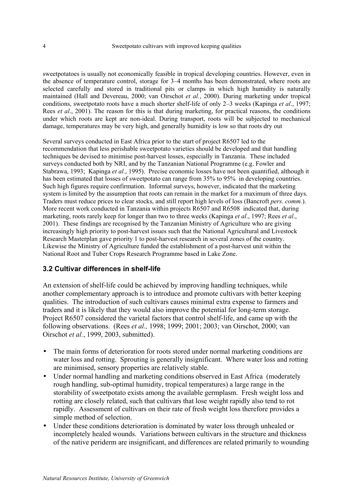sweetpotatoes is usually not economically feasible in tropical developing countries. However, even in the absence of temperature control, storage for 3–4 months has been demonstrated, where roots are selected carefully and stored in traditional pits or clamps in which high humidity is naturally maintained (Hall and Devereau, 2000; van Oirschot *et al.*, 2000). During marketing under tropical conditions, sweetpotato roots have a much shorter shelf-life of only 2–3 weeks (Kapinga *et al*., 1997; Rees *et al*., 2001). The reason for this is that during marketing, for practical reasons, the conditions under which roots are kept are non-ideal. During transport, roots will be subjected to mechanical damage, temperatures may be very high, and generally humidity is low so that roots dry out

Several surveys conducted in East Africa prior to the start of project R6507 led to the recommendation that less perishable sweetpotato varieties should be developed and that handling techniques be devised to minimise post-harvest losses, especially in Tanzania. These included surveys conducted both by NRI, and by the Tanzanian National Programme (e.g. Fowler and Stabrawa, 1993; Kapinga *et al.*, 1995). Precise economic losses have not been quantified, although it has been estimated that losses of sweetpotato can range from 35% to 95% in developing countries. Such high figures require confirmation. Informal surveys, however, indicated that the marketing system is limited by the assumption that roots can remain in the market for a maximum of three days. Traders must reduce prices to clear stocks, and still report high levels of loss (Bancroft *pers. comm.*). More recent work conducted in Tanzania within projects R6507 and R6508 indicated that, during marketing, roots rarely keep for longer than two to three weeks (Kapinga *et al*., 1997; Rees *et al*., 2001). These findings are recognised by the Tanzanian Ministry of Agriculture who are giving increasingly high priority to post-harvest issues such that the National Agricultural and Livestock Research Masterplan gave priority 1 to post-harvest research in several zones of the country. Likewise the Ministry of Agriculture funded the establishment of a post-harvest unit within the National Root and Tuber Crops Research Programme based in Lake Zone.

# **3.2 Cultivar differences in shelf-life**

An extension of shelf-life could be achieved by improving handling techniques, while another complementary approach is to introduce and promote cultivars with better keeping qualities. The introduction of such cultivars causes minimal extra expense to farmers and traders and it is likely that they would also improve the potential for long-term storage. Project R6507 considered the varietal factors that control shelf-life, and came up with the following observations. (Rees *et al.,* 1998; 1999; 2001; 2003; van Oirschot, 2000; van Oirschot *et al.*, 1999, 2003, submitted).

- The main forms of deterioration for roots stored under normal marketing conditions are water loss and rotting. Sprouting is generally insignificant. Where water loss and rotting are minimised, sensory properties are relatively stable.
- Under normal handling and marketing conditions observed in East Africa (moderately rough handling, sub-optimal humidity, tropical temperatures) a large range in the storability of sweetpotato exists among the available germplasm. Fresh weight loss and rotting are closely related, such that cultivars that lose weight rapidly also tend to rot rapidly. Assessment of cultivars on their rate of fresh weight loss therefore provides a simple method of selection.
- Under these conditions deterioration is dominated by water loss through unhealed or incompletely healed wounds. Variations between cultivars in the structure and thickness of the native periderm are insignificant, and differences are related primarily to wounding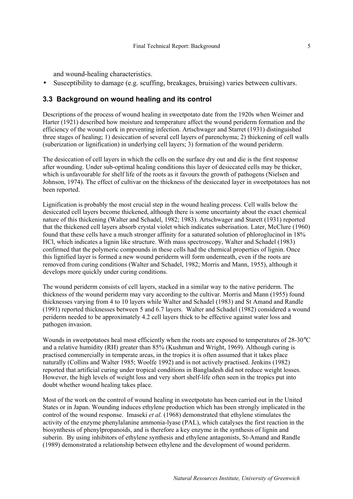and wound-healing characteristics.

Susceptibility to damage (e.g. scuffing, breakages, bruising) varies between cultivars.

# **3.3 Background on wound healing and its control**

Descriptions of the process of wound healing in sweetpotato date from the 1920s when Weimer and Harter (1921) described how moisture and temperature affect the wound periderm formation and the efficiency of the wound cork in preventing infection. Artschwager and Starret (1931) distinguished three stages of healing; 1) desiccation of several cell layers of parenchyma; 2) thickening of cell walls (suberization or lignification) in underlying cell layers; 3) formation of the wound periderm.

The desiccation of cell layers in which the cells on the surface dry out and die is the first response after wounding. Under sub-optimal healing conditions this layer of desiccated cells may be thicker, which is unfavourable for shelf life of the roots as it favours the growth of pathogens (Nielsen and Johnson, 1974). The effect of cultivar on the thickness of the desiccated layer in sweetpotatoes has not been reported.

Lignification is probably the most crucial step in the wound healing process. Cell walls below the desiccated cell layers become thickened, although there is some uncertainty about the exact chemical nature of this thickening (Walter and Schadel, 1982; 1983). Artschwager and Starett (1931) reported that the thickened cell layers absorb crystal violet which indicates suberisation. Later, McClure (1960) found that these cells have a much stronger affinity for a saturated solution of phloroglucinol in 18% HCl, which indicates a lignin like structure. With mass spectroscopy, Walter and Schadel (1983) confirmed that the polymeric compounds in these cells had the chemical properties of lignin. Once this lignified layer is formed a new wound periderm will form underneath, even if the roots are removed from curing conditions (Walter and Schadel, 1982; Morris and Mann, 1955), although it develops more quickly under curing conditions.

The wound periderm consists of cell layers, stacked in a similar way to the native periderm. The thickness of the wound periderm may vary according to the cultivar. Morris and Mann (1955) found thicknesses varying from 4 to 10 layers while Walter and Schadel (1983) and St Amand and Randle (1991) reported thicknesses between 5 and 6.7 layers. Walter and Schadel (1982) considered a wound periderm needed to be approximately 4.2 cell layers thick to be effective against water loss and pathogen invasion.

Wounds in sweetpotatoes heal most efficiently when the roots are exposed to temperatures of 28-30°C and a relative humidity (RH) greater than 85% (Kushman and Wright, 1969). Although curing is practised commercially in temperate areas, in the tropics it is often assumed that it takes place naturally (Collins and Walter 1985; Woolfe 1992) and is not actively practised. Jenkins (1982) reported that artificial curing under tropical conditions in Bangladesh did not reduce weight losses. However, the high levels of weight loss and very short shelf-life often seen in the tropics put into doubt whether wound healing takes place.

Most of the work on the control of wound healing in sweetpotato has been carried out in the United States or in Japan. Wounding induces ethylene production which has been strongly implicated in the control of the wound response. Imaseki *et al.* (1968) demonstrated that ethylene stimulates the activity of the enzyme phenylalanine ammonia-lyase (PAL), which catalyses the first reaction in the biosynthesis of phenylpropanoids, and is therefore a key enzyme in the synthesis of lignin and suberin. By using inhibitors of ethylene synthesis and ethylene antagonists, St-Amand and Randle (1989) demonstrated a relationship between ethylene and the development of wound periderm.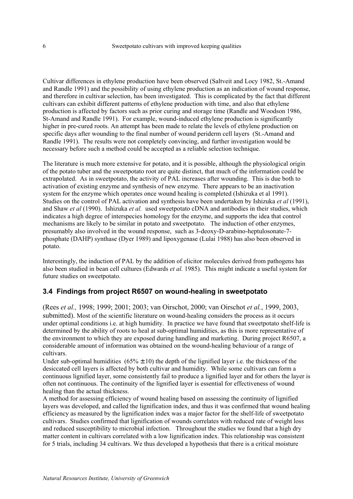Cultivar differences in ethylene production have been observed (Saltveit and Locy 1982, St.-Amand and Randle 1991) and the possibility of using ethylene production as an indication of wound response, and therefore in cultivar selection, has been investigated. This is complicated by the fact that different cultivars can exhibit different patterns of ethylene production with time, and also that ethylene production is affected by factors such as prior curing and storage time (Randle and Woodson 1986, St-Amand and Randle 1991). For example, wound-induced ethylene production is significantly higher in pre-cured roots. An attempt has been made to relate the levels of ethylene production on specific days after wounding to the final number of wound periderm cell layers (St.-Amand and Randle 1991). The results were not completely convincing, and further investigation would be necessary before such a method could be accepted as a reliable selection technique.

The literature is much more extensive for potato, and it is possible, although the physiological origin of the potato tuber and the sweetpotato root are quite distinct, that much of the information could be extrapolated. As in sweetpotato, the activity of PAL increases after wounding. This is due both to activation of existing enzyme and synthesis of new enzyme. There appears to be an inactivation system for the enzyme which operates once wound healing is completed (Ishizuka et al 1991). Studies on the control of PAL activation and synthesis have been undertaken by Ishizuka *et al* (1991), and Shaw *et al* (1990). Ishizuka *et al.* used sweetpotato cDNA and antibodies in their studies, which indicates a high degree of interspecies homology for the enzyme, and supports the idea that control mechanisms are likely to be similar in potato and sweetpotato. The induction of other enzymes, presumably also involved in the wound response, such as 3-deoxy-D-arabino-heptulosonate-7 phosphate (DAHP) synthase (Dyer 1989) and lipoxygenase (Lulai 1988) has also been observed in potato.

Interestingly, the induction of PAL by the addition of elicitor molecules derived from pathogens has also been studied in bean cell cultures (Edwards *et al.* 1985). This might indicate a useful system for future studies on sweetpotato.

# **3.4 Findings from project R6507 on wound-healing in sweetpotato**

(Rees *et al.,* 1998; 1999; 2001; 2003; van Oirschot, 2000; van Oirschot *et al.*, 1999, 2003, submitted). Most of the scientific literature on wound-healing considers the process as it occurs under optimal conditions i.e. at high humidity. In practice we have found that sweetpotato shelf-life is determined by the ability of roots to heal at sub-optimal humidities, as this is more representative of the environment to which they are exposed during handling and marketing. During project R6507, a considerable amount of information was obtained on the wound-healing behaviour of a range of cultivars.

Under sub-optimal humidities  $(65\% \pm 10)$  the depth of the lignified layer i.e. the thickness of the desiccated cell layers is affected by both cultivar and humidity. While some cultivars can form a continuous lignified layer, some consistently fail to produce a lignified layer and for others the layer is often not continuous. The continuity of the lignified layer is essential for effectiveness of wound healing than the actual thickness.

A method for assessing efficiency of wound healing based on assessing the continuity of lignified layers was developed, and called the lignification index, and thus it was confirmed that wound healing efficiency as measured by the lignification index was a major factor for the shelf-life of sweetpotato cultivars. Studies confirmed that lignification of wounds correlates with reduced rate of weight loss and reduced susceptibility to microbial infection. Throughout the studies we found that a high dry matter content in cultivars correlated with a low lignification index. This relationship was consistent for 5 trials, including 34 cultivars. We thus developed a hypothesis that there is a critical moisture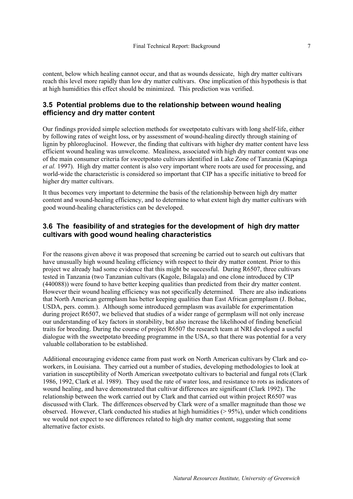content, below which healing cannot occur, and that as wounds dessicate, high dry matter cultivars reach this level more rapidly than low dry matter cultivars. One implication of this hypothesis is that at high humidities this effect should be minimized. This prediction was verified.

### **3.5 Potential problems due to the relationship between wound healing efficiency and dry matter content**

Our findings provided simple selection methods for sweetpotato cultivars with long shelf-life, either by following rates of weight loss, or by assessment of wound-healing directly through staining of lignin by phloroglucinol. However, the finding that cultivars with higher dry matter content have less efficient wound healing was unwelcome. Mealiness, associated with high dry matter content was one of the main consumer criteria for sweetpotato cultivars identified in Lake Zone of Tanzania (Kapinga *et al.* 1997). High dry matter content is also very important where roots are used for processing, and world-wide the characteristic is considered so important that CIP has a specific initiative to breed for higher dry matter cultivars.

It thus becomes very important to determine the basis of the relationship between high dry matter content and wound-healing efficiency, and to determine to what extent high dry matter cultivars with good wound-healing characteristics can be developed.

### **3.6 The feasibility of and strategies for the development of high dry matter cultivars with good wound healing characteristics**

For the reasons given above it was proposed that screening be carried out to search out cultivars that have unusually high wound healing efficiency with respect to their dry matter content. Prior to this project we already had some evidence that this might be successful. During R6507, three cultivars tested in Tanzania (two Tanzanian cultivars (Kagole, Bilagala) and one clone introduced by CIP (440088)) were found to have better keeping qualities than predicted from their dry matter content. However their wound healing efficiency was not specifically determined. There are also indications that North American germplasm has better keeping qualities than East African germplasm (J. Bohac, USDA, pers. comm.). Although some introduced germplasm was available for experimentation during project R6507, we believed that studies of a wider range of germplasm will not only increase our understanding of key factors in storability, but also increase the likelihood of finding beneficial traits for breeding. During the course of project R6507 the research team at NRI developed a useful dialogue with the sweetpotato breeding programme in the USA, so that there was potential for a very valuable collaboration to be established.

Additional encouraging evidence came from past work on North American cultivars by Clark and coworkers, in Louisiana. They carried out a number of studies, developing methodologies to look at variation in susceptibility of North American sweetpotato cultivars to bacterial and fungal rots (Clark 1986, 1992, Clark et al. 1989). They used the rate of water loss, and resistance to rots as indicators of wound healing, and have demonstrated that cultivar differences are significant (Clark 1992). The relationship between the work carried out by Clark and that carried out within project R6507 was discussed with Clark. The differences observed by Clark were of a smaller magnitude than those we observed. However, Clark conducted his studies at high humidities (> 95%), under which conditions we would not expect to see differences related to high dry matter content, suggesting that some alternative factor exists.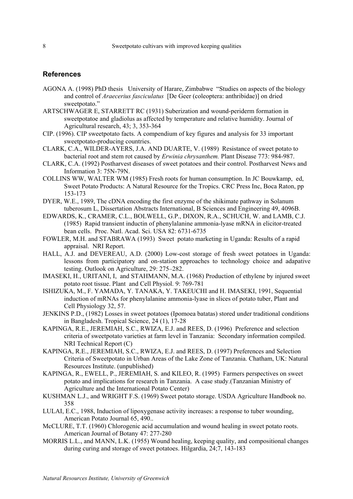#### **References**

- AGONA A. (1998) PhD thesis University of Harare, Zimbabwe "Studies on aspects of the biology and control of *Araecerius fasciculatus* [De Geer (coleoptera: anthribidae)] on dried sweetpotato."
- ARTSCHWAGER E, STARRETT RC (1931) Suberization and wound-periderm formation in sweetpotatoe and gladiolus as affected by temperature and relative humidity. Journal of Agricultural research, 43; 3, 353-364
- CIP. (1996). CIP sweetpotato facts. A compendium of key figures and analysis for 33 important sweetpotato-producing countries.
- CLARK, C.A., WILDER-AYERS, J.A. AND DUARTE, V. (1989) Resistance of sweet potato to bacterial root and stem rot caused by *Erwinia chrysanthem.* Plant Disease 773: 984-987.
- CLARK, C.A. (1992) Postharvest diseases of sweet potatoes and their control. Postharvest News and Information 3: 75N-79N.
- COLLINS WW, WALTER WM (1985) Fresh roots for human consumption. In JC Bouwkamp, ed, Sweet Potato Products: A Natural Resource for the Tropics. CRC Press Inc, Boca Raton, pp 153-173
- DYER, W.E., 1989, The cDNA encoding the first enzyme of the shikimate pathway in Solanum tuberosum L, Dissertation Abstracts International, B Sciences and Engineering 49, 4096B.
- EDWARDS, K., CRAMER, C.L., BOLWELL, G.P., DIXON, R.A., SCHUCH, W. and LAMB, C.J. (1985) Rapid transient inductin of phenylalanine ammonia-lyase mRNA in elicitor-treated bean cells. Proc. Natl. Acad. Sci. USA 82: 6731-6735
- FOWLER, M.H. and STABRAWA (1993) Sweet potato marketing in Uganda: Results of a rapid appraisal. NRI Report.
- HALL, A.J. and DEVEREAU, A.D. (2000) Low-cost storage of fresh sweet potatoes in Uganda: lessons from participatory and on-station approaches to technology choice and adapative testing. Outlook on Agriculture, 29: 275–282.
- IMASEKI, H., URITANI, I, and STAHMANN, M.A. (1968) Production of ethylene by injured sweet potato root tissue. Plant and Cell Physiol. 9: 769-781
- ISHIZUKA, M., F. YAMADA, Y. TANAKA, Y. TAKEUCHI and H. IMASEKI, 1991, Sequential induction of mRNAs for phenylalanine ammonia-lyase in slices of potato tuber, Plant and Cell Physiology 32, 57.
- JENKINS P.D., (1982) Losses in sweet potatoes (Ipomoea batatas) stored under traditional conditions in Bangladesh. Tropical Science, 24 (1), 17-28
- KAPINGA, R.E., JEREMIAH, S.C., RWIZA, E.J. and REES, D. (1996) Preference and selection criteria of sweetpotato varieties at farm level in Tanzania: Secondary information compiled. NRI Technical Report (C)
- KAPINGA, R.E., JEREMIAH, S.C., RWIZA, E.J. and REES, D. (1997) Preferences and Selection Criteria of Sweetpotato in Urban Areas of the Lake Zone of Tanzania. Chatham, UK: Natural Resources Institute. (unpublished)
- KAPINGA, R., EWELL, P., JEREMIAH, S. and KILEO, R. (1995) Farmers perspectives on sweet potato and implications for research in Tanzania. A case study.(Tanzanian Ministry of Agriculture and the International Potato Center)
- KUSHMAN L.J., and WRIGHT F.S. (1969) Sweet potato storage. USDA Agriculture Handbook no. 358
- LULAI, E.C., 1988, Induction of lipoxygenase activity increases: a response to tuber wounding, American Potato Journal 65, 490..
- McCLURE, T.T. (1960) Chlorogenic acid accumulation and wound healing in sweet potato roots. American Journal of Botany 47: 277-280
- MORRIS L.L., and MANN, L.K. (1955) Wound healing, keeping quality, and compositional changes during curing and storage of sweet potatoes. Hilgardia, 24;7, 143-183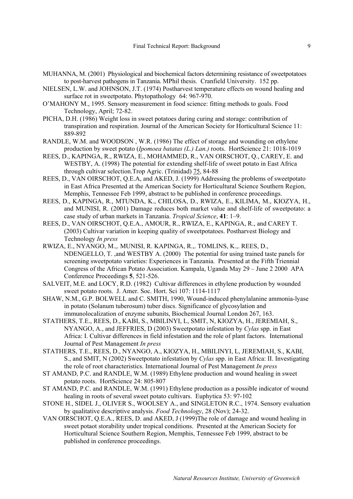- MUHANNA, M. (2001) Physiological and biochemical factors determining resistance of sweetpotatoes to post-harvest pathogens in Tanzania. MPhil thesis. Cranfield University. 152 pp.
- NIELSEN, L.W. and JOHNSON, J.T. (1974) Postharvest temperature effects on wound healing and surface rot in sweetpotato. Phytopathology 64: 967-970.
- O'MAHONY M., 1995. Sensory measurement in food science: fitting methods to goals. Food Technology, April; 72-82.
- PICHA, D.H. (1986) Weight loss in sweet potatoes during curing and storage: contribution of transpiration and respiration. Journal of the American Society for Horticultural Science 11: 889-892
- RANDLE, W.M. and WOODSON , W.R. (1986) The effect of storage and wounding on ethylene production by sweet potato (*Ipomoea batatas (L.) Lan.)* roots. HortScience 21: 1018-1019
- REES, D., KAPINGA, R., RWIZA, E., MOHAMMED, R., VAN OIRSCHOT, Q., CAREY, E. and WESTBY, A. (1998) The potential for extending shelf-life of sweet potato in East Africa through cultivar selection.Trop Agric. (Trinidad) 75, 84-88
- REES, D., VAN OIRSCHOT, Q.E.A, and AKED, J. (1999) Addressing the problems of sweetpotato in East Africa Presented at the American Society for Horticultural Science Southern Region, Memphis, Tennessee Feb 1999, abstract to be published in conference proceedings.
- REES, D., KAPINGA, R., MTUNDA, K., CHILOSA, D., RWIZA, E., KILIMA, M., KIOZYA, H., and MUNISI, R. (2001) Damage reduces both market value and shelf-life of sweetpotato: a case study of urban markets in Tanzania. *Tropical Science*, **41**: 1–9.
- REES, D., VAN OIRSCHOT, Q.E.A., AMOUR, R., RWIZA, E., KAPINGA, R., and CAREY T. (2003) Cultivar variation in keeping quality of sweetpotatoes. Postharvest Biology and Technology *In press*
- RWIZA, E., NYANGO, M.,. MUNISI, R. KAPINGA, R.,. TOMLINS, K.,. REES, D., NDENGELLO, T. ,and WESTBY A. (2000) The potential for using trained taste panels for screening sweetpotato varieties: Experiences in Tanzania. Presented at the Fifth Triennial Congress of the African Potato Association. Kampala, Uganda May 29 – June 2 2000 APA Conference Proceedings **5**, 521-526.
- SALVEIT, M.E. and LOCY, R.D. (1982) Cultivar differences in ethylene production by wounded sweet potato roots. J. Amer. Soc. Hort. Sci 107: 1114-1117
- SHAW, N.M., G.P. BOLWELL and C. SMITH, 1990, Wound-induced phenylalanine ammonia-lyase in potato (Solanum tuberosum) tuber discs. Significance of glycosylation and immunolocalization of enzyme subunits, Biochemical Journal London 267, 163.
- STATHERS, T.E., REES, D., KABI, S., MBILINYI, L, SMIT, N, KIOZYA, H., JEREMIAH, S., NYANGO, A., and JEFFRIES, D (2003) Sweetpotato infestation by *Cylas* spp. in East Africa: I. Cultivar differences in field infestation and the role of plant factors. International Journal of Pest Management *In press*
- STATHERS, T.E., REES, D., NYANGO, A., KIOZYA, H., MBILINYI, L, JEREMIAH, S., KABI, S., and SMIT, N (2002) Sweetpotato infestation by *Cylas* spp. in East Africa: II. Investigating the role of root characteristics. International Journal of Pest Management *In press*
- ST AMAND, P.C. and RANDLE, W.M. (1989) Ethylene production and wound healing in sweet potato roots. HortScience 24: 805-807
- ST AMAND, P.C. and RANDLE, W.M. (1991) Ethylene production as a possible indicator of wound healing in roots of several sweet potato cultivars. Euphytica 53: 97-102
- STONE H., SIDEL J., OLIVER S., WOOLSEY A., and SINGLETON R.C., 1974. Sensory evaluation by qualitative descriptive analysis. *Food Technology*, 28 (Nov); 24-32.
- VAN OIRSCHOT, Q.E.A., REES, D. and AKED, J (1999)The role of damage and wound healing in sweet potaot storability under tropical conditions. Presented at the American Society for Horticultural Science Southern Region, Memphis, Tennessee Feb 1999, abstract to be published in conference proceedings.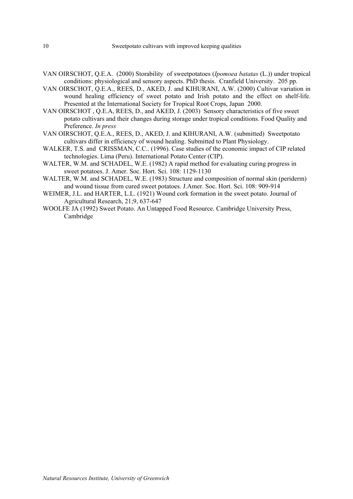- VAN OIRSCHOT, Q.E.A. (2000) Storability of sweetpotatoes (*Ipomoea batatas* (L.)) under tropical conditions: physiological and sensory aspects. PhD thesis. Cranfield University. 205 pp.
- VAN OIRSCHOT, Q.E.A., REES, D., AKED, J. and KIHURANI, A.W. (2000) Cultivar variation in wound healing efficiency of sweet potato and Irish potato and the effect on shelf-life. Presented at the International Society for Tropical Root Crops, Japan 2000.
- VAN OIRSCHOT , Q.E.A, REES, D., and AKED, J. (2003) Sensory characteristics of five sweet potato cultivars and their changes during storage under tropical conditions. Food Quality and Preference*. In press*
- VAN OIRSCHOT, Q.E.A., REES, D., AKED, J. and KIHURANI, A.W. (submitted) Sweetpotato cultivars differ in efficiency of wound healing. Submitted to Plant Physiology.
- WALKER, T.S. and CRISSMAN, C.C.. (1996). Case studies of the economic impact of CIP related technologies. Lima (Peru). International Potato Center (CIP).
- WALTER, W.M. and SCHADEL, W.E. (1982) A rapid method for evaluating curing progress in sweet potatoes. J. Amer. Soc. Hort. Sci. 108: 1129-1130
- WALTER, W.M. and SCHADEL, W.E. (1983) Structure and composition of normal skin (periderm) and wound tissue from cured sweet potatoes. J.Amer. Soc. Hort. Sci. 108: 909-914
- WEIMER, J.L. and HARTER, L.L. (1921) Wound cork formation in the sweet potato. Journal of Agricultural Research, 21;9, 637-647
- WOOLFE JA (1992) Sweet Potato. An Untapped Food Resource. Cambridge University Press, Cambridge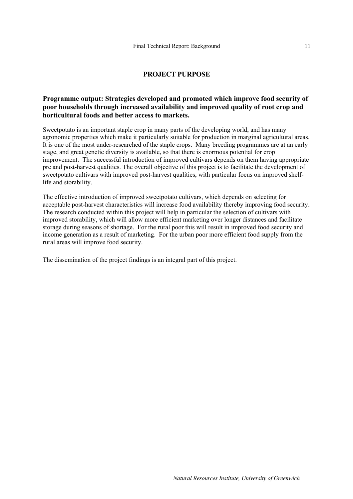#### **PROJECT PURPOSE**

### **Programme output: Strategies developed and promoted which improve food security of poor households through increased availability and improved quality of root crop and horticultural foods and better access to markets.**

Sweetpotato is an important staple crop in many parts of the developing world, and has many agronomic properties which make it particularly suitable for production in marginal agricultural areas. It is one of the most under-researched of the staple crops. Many breeding programmes are at an early stage, and great genetic diversity is available, so that there is enormous potential for crop improvement. The successful introduction of improved cultivars depends on them having appropriate pre and post-harvest qualities. The overall objective of this project is to facilitate the development of sweetpotato cultivars with improved post-harvest qualities, with particular focus on improved shelflife and storability.

The effective introduction of improved sweetpotato cultivars, which depends on selecting for acceptable post-harvest characteristics will increase food availability thereby improving food security. The research conducted within this project will help in particular the selection of cultivars with improved storability, which will allow more efficient marketing over longer distances and facilitate storage during seasons of shortage. For the rural poor this will result in improved food security and income generation as a result of marketing. For the urban poor more efficient food supply from the rural areas will improve food security.

The dissemination of the project findings is an integral part of this project.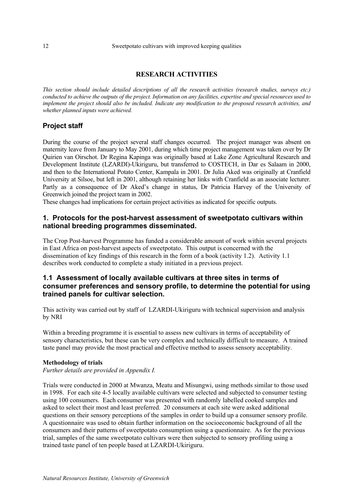#### **RESEARCH ACTIVITIES**

*This section should include detailed descriptions of all the research activities (research studies, surveys etc.) conducted to achieve the outputs of the project. Information on any facilities, expertise and special resources used to implement the project should also be included. Indicate any modification to the proposed research activities, and whether planned inputs were achieved.* 

# **Project staff**

During the course of the project several staff changes occurred. The project manager was absent on maternity leave from January to May 2001, during which time project management was taken over by Dr Quirien van Oirschot. Dr Regina Kapinga was originally based at Lake Zone Agricultural Research and Development Institute (LZARDI)-Ukiriguru, but transferred to COSTECH, in Dar es Salaam in 2000, and then to the International Potato Center, Kampala in 2001. Dr Julia Aked was originally at Cranfield University at Silsoe, but left in 2001, although retaining her links with Cranfield as an associate lecturer. Partly as a consequence of Dr Aked's change in status, Dr Patricia Harvey of the University of Greenwich joined the project team in 2002.

These changes had implications for certain project activities as indicated for specific outputs.

#### **1. Protocols for the post-harvest assessment of sweetpotato cultivars within national breeding programmes disseminated.**

The Crop Post-harvest Programme has funded a considerable amount of work within several projects in East Africa on post-harvest aspects of sweetpotato. This output is concerned with the dissemination of key findings of this research in the form of a book (activity 1.2). Activity 1.1 describes work conducted to complete a study initiated in a previous project.

### **1.1 Assessment of locally available cultivars at three sites in terms of consumer preferences and sensory profile, to determine the potential for using trained panels for cultivar selection.**

This activity was carried out by staff of LZARDI-Ukiriguru with technical supervision and analysis by NRI

Within a breeding programme it is essential to assess new cultivars in terms of acceptability of sensory characteristics, but these can be very complex and technically difficult to measure. A trained taste panel may provide the most practical and effective method to assess sensory acceptability.

#### **Methodology of trials**

*Further details are provided in Appendix I.* 

Trials were conducted in 2000 at Mwanza, Meatu and Misungwi, using methods similar to those used in 1998. For each site 4-5 locally available cultivars were selected and subjected to consumer testing using 100 consumers. Each consumer was presented with randomly labelled cooked samples and asked to select their most and least preferred. 20 consumers at each site were asked additional questions on their sensory perceptions of the samples in order to build up a consumer sensory profile. A questionnaire was used to obtain further information on the socioeconomic background of all the consumers and their patterns of sweetpotato consumption using a questionnaire. As for the previous trial, samples of the same sweetpotato cultivars were then subjected to sensory profiling using a trained taste panel of ten people based at LZARDI-Ukiriguru.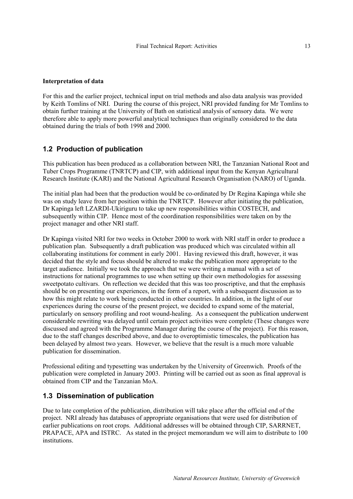#### **Interpretation of data**

For this and the earlier project, technical input on trial methods and also data analysis was provided by Keith Tomlins of NRI. During the course of this project, NRI provided funding for Mr Tomlins to obtain further training at the University of Bath on statistical analysis of sensory data. We were therefore able to apply more powerful analytical techniques than originally considered to the data obtained during the trials of both 1998 and 2000.

### **1.2 Production of publication**

This publication has been produced as a collaboration between NRI, the Tanzanian National Root and Tuber Crops Programme (TNRTCP) and CIP, with additional input from the Kenyan Agricultural Research Institute (KARI) and the National Agricultural Research Organisation (NARO) of Uganda.

The initial plan had been that the production would be co-ordinated by Dr Regina Kapinga while she was on study leave from her position within the TNRTCP. However after initiating the publication, Dr Kapinga left LZARDI-Ukiriguru to take up new responsibilities within COSTECH, and subsequently within CIP. Hence most of the coordination responsibilities were taken on by the project manager and other NRI staff.

Dr Kapinga visited NRI for two weeks in October 2000 to work with NRI staff in order to produce a publication plan. Subsequently a draft publication was produced which was circulated within all collaborating institutions for comment in early 2001. Having reviewed this draft, however, it was decided that the style and focus should be altered to make the publication more appropriate to the target audience. Initially we took the approach that we were writing a manual with a set of instructions for national programmes to use when setting up their own methodologies for assessing sweetpotato cultivars. On reflection we decided that this was too proscriptive, and that the emphasis should be on presenting our experiences, in the form of a report, with a subsequent discussion as to how this might relate to work being conducted in other countries. In addition, in the light of our experiences during the course of the present project, we decided to expand some of the material, particularly on sensory profiling and root wound-healing. As a consequent the publication underwent considerable rewriting was delayed until certain project activities were complete (These changes were discussed and agreed with the Programme Manager during the course of the project). For this reason, due to the staff changes described above, and due to overoptimistic timescales, the publication has been delayed by almost two years. However, we believe that the result is a much more valuable publication for dissemination.

Professional editing and typesetting was undertaken by the University of Greenwich. Proofs of the publication were completed in January 2003. Printing will be carried out as soon as final approval is obtained from CIP and the Tanzanian MoA.

### **1.3 Dissemination of publication**

Due to late completion of the publication, distribution will take place after the official end of the project. NRI already has databases of appropriate organisations that were used for distribution of earlier publications on root crops. Additional addresses will be obtained through CIP, SARRNET, PRAPACE, APA and ISTRC. As stated in the project memorandum we will aim to distribute to 100 institutions.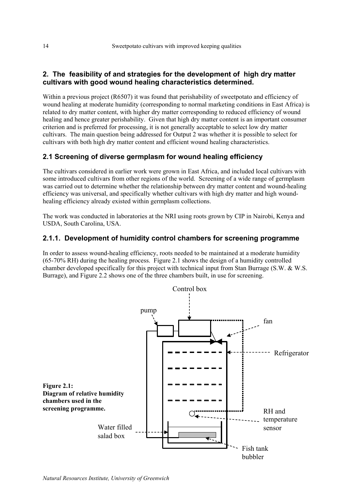# **2. The feasibility of and strategies for the development of high dry matter cultivars with good wound healing characteristics determined.**

Within a previous project (R6507) it was found that perishability of sweetpotato and efficiency of wound healing at moderate humidity (corresponding to normal marketing conditions in East Africa) is related to dry matter content, with higher dry matter corresponding to reduced efficiency of wound healing and hence greater perishability. Given that high dry matter content is an important consumer criterion and is preferred for processing, it is not generally acceptable to select low dry matter cultivars. The main question being addressed for Output 2 was whether it is possible to select for cultivars with both high dry matter content and efficient wound healing characteristics.

# **2.1 Screening of diverse germplasm for wound healing efficiency**

The cultivars considered in earlier work were grown in East Africa, and included local cultivars with some introduced cultivars from other regions of the world. Screening of a wide range of germplasm was carried out to determine whether the relationship between dry matter content and wound-healing efficiency was universal, and specifically whether cultivars with high dry matter and high woundhealing efficiency already existed within germplasm collections.

The work was conducted in laboratories at the NRI using roots grown by CIP in Nairobi, Kenya and USDA, South Carolina, USA.

# **2.1.1. Development of humidity control chambers for screening programme**

In order to assess wound-healing efficiency, roots needed to be maintained at a moderate humidity (65-70% RH) during the healing process. Figure 2.1 shows the design of a humidity controlled chamber developed specifically for this project with technical input from Stan Burrage (S.W. & W.S. Burrage), and Figure 2.2 shows one of the three chambers built, in use for screening.

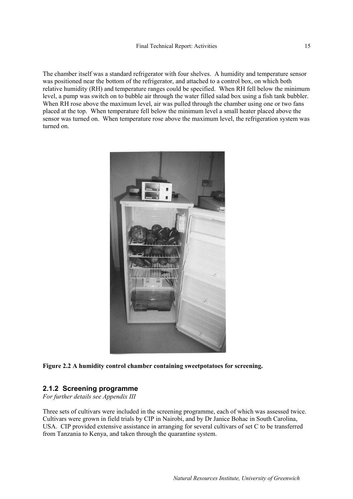The chamber itself was a standard refrigerator with four shelves. A humidity and temperature sensor was positioned near the bottom of the refrigerator, and attached to a control box, on which both relative humidity (RH) and temperature ranges could be specified. When RH fell below the minimum level, a pump was switch on to bubble air through the water filled salad box using a fish tank bubbler. When RH rose above the maximum level, air was pulled through the chamber using one or two fans placed at the top. When temperature fell below the minimum level a small heater placed above the sensor was turned on. When temperature rose above the maximum level, the refrigeration system was turned on.





### **2.1.2 Screening programme**

*For further details see Appendix III* 

Three sets of cultivars were included in the screening programme, each of which was assessed twice. Cultivars were grown in field trials by CIP in Nairobi, and by Dr Janice Bohac in South Carolina, USA. CIP provided extensive assistance in arranging for several cultivars of set C to be transferred from Tanzania to Kenya, and taken through the quarantine system.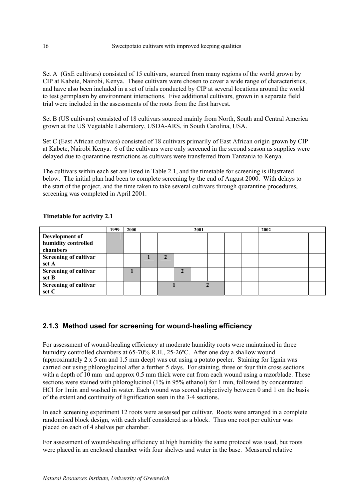Set A (GxE cultivars) consisted of 15 cultivars, sourced from many regions of the world grown by CIP at Kabete, Nairobi, Kenya. These cultivars were chosen to cover a wide range of characteristics, and have also been included in a set of trials conducted by CIP at several locations around the world to test germplasm by environment interactions. Five additional cultivars, grown in a separate field trial were included in the assessments of the roots from the first harvest.

Set B (US cultivars) consisted of 18 cultivars sourced mainly from North, South and Central America grown at the US Vegetable Laboratory, USDA-ARS, in South Carolina, USA.

Set C (East African cultivars) consisted of 18 cultivars primarily of East African origin grown by CIP at Kabete, Nairobi Kenya. 6 of the cultivars were only screened in the second season as supplies were delayed due to quarantine restrictions as cultivars were transferred from Tanzania to Kenya.

The cultivars within each set are listed in Table 2.1, and the timetable for screening is illustrated below. The initial plan had been to complete screening by the end of August 2000. With delays to the start of the project, and the time taken to take several cultivars through quarantine procedures, screening was completed in April 2001.

|                              | 1999 | 2000 |  | 2001 |  | 2002 |  |  |
|------------------------------|------|------|--|------|--|------|--|--|
| Development of               |      |      |  |      |  |      |  |  |
| humidity controlled          |      |      |  |      |  |      |  |  |
| chambers                     |      |      |  |      |  |      |  |  |
| <b>Screening of cultivar</b> |      |      |  |      |  |      |  |  |
| set A                        |      |      |  |      |  |      |  |  |
| <b>Screening of cultivar</b> |      |      |  |      |  |      |  |  |
| set B                        |      |      |  |      |  |      |  |  |
| <b>Screening of cultivar</b> |      |      |  |      |  |      |  |  |
| set C                        |      |      |  |      |  |      |  |  |

**Timetable for activity 2.1** 

# **2.1.3 Method used for screening for wound-healing efficiency**

For assessment of wound-healing efficiency at moderate humidity roots were maintained in three humidity controlled chambers at 65-70% R.H., 25-26ºC. After one day a shallow wound (approximately 2 x 5 cm and 1.5 mm deep) was cut using a potato peeler. Staining for lignin was carried out using phloroglucinol after a further 5 days. For staining, three or four thin cross sections with a depth of 10 mm and approx 0.5 mm thick were cut from each wound using a razorblade. These sections were stained with phloroglucinol (1% in 95% ethanol) for 1 min, followed by concentrated HCl for 1min and washed in water. Each wound was scored subjectively between 0 and 1 on the basis of the extent and continuity of lignification seen in the 3-4 sections.

In each screening experiment 12 roots were assessed per cultivar. Roots were arranged in a complete randomised block design, with each shelf considered as a block. Thus one root per cultivar was placed on each of 4 shelves per chamber.

For assessment of wound-healing efficiency at high humidity the same protocol was used, but roots were placed in an enclosed chamber with four shelves and water in the base. Measured relative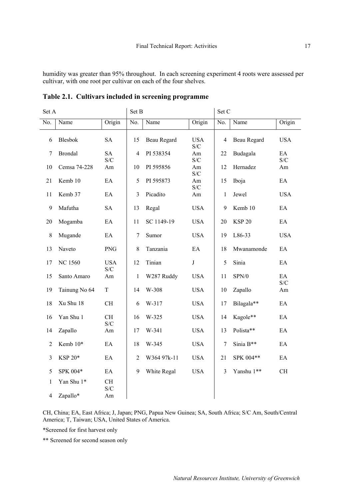humidity was greater than 95% throughout. In each screening experiment 4 roots were assessed per cultivar, with one root per cultivar on each of the four shelves.

| Set A          |                |                   | Set B          |                    |                   | Set C          |               |                            |
|----------------|----------------|-------------------|----------------|--------------------|-------------------|----------------|---------------|----------------------------|
| No.            | Name           | Origin            | No.            | Name               | Origin            | No.            | Name          | Origin                     |
| 6              | <b>Blesbok</b> | <b>SA</b>         | 15             | <b>Beau Regard</b> | <b>USA</b><br>S/C | $\overline{4}$ | Beau Regard   | <b>USA</b>                 |
| $\tau$         | <b>Brondal</b> | <b>SA</b><br>S/C  | $\overline{4}$ | PI 538354          | Am<br>S/C         | 22             | Budagala      | EA<br>S/C                  |
| 10             | Cemsa 74-228   | Am                | 10             | PI 595856          | Am<br>S/C         | 12             | Hernadez      | Am                         |
| 21             | Kemb 10        | EA                | 5              | PI 595873          | Am<br>S/C         | 15             | Iboja         | EA                         |
| 11             | Kemb 37        | EA                | $\mathfrak{Z}$ | Picadito           | Am                | 1              | Jewel         | <b>USA</b>                 |
| 9              | Mafutha        | <b>SA</b>         | 13             | Regal              | <b>USA</b>        | 9              | Kemb 10       | EA                         |
| 20             | Mogamba        | EA                | 11             | SC 1149-19         | <b>USA</b>        | 20             | <b>KSP 20</b> | EA                         |
| 8              | Mugande        | EA                | 7              | Sumor              | <b>USA</b>        | 19             | L86-33        | <b>USA</b>                 |
| 13             | Naveto         | <b>PNG</b>        | 8              | Tanzania           | EA                | 18             | Mwanamonde    | $\mathop{\rm EA}\nolimits$ |
| 17             | <b>NC 1560</b> | <b>USA</b><br>S/C | 12             | Tinian             | $\bf J$           | 5              | Sinia         | EA                         |
| 15             | Santo Amaro    | Am                | $\mathbf{1}$   | W287 Ruddy         | <b>USA</b>        | 11             | SPN/0         | EA<br>S/C                  |
| 19             | Tainung No 64  | $\mathbf T$       | 14             | W-308              | <b>USA</b>        | 10             | Zapallo       | Am                         |
| 18             | Xu Shu 18      | <b>CH</b>         | 6              | W-317              | <b>USA</b>        | 17             | Bilagala**    | EA                         |
| 16             | Yan Shu 1      | <b>CH</b><br>S/C  | 16             | W-325              | <b>USA</b>        | 14             | Kagole**      | EA                         |
| 14             | Zapallo        | Am                | 17             | W-341              | <b>USA</b>        | 13             | Polista**     | EA                         |
| $\overline{2}$ | Kemb 10*       | EA                | 18             | W-345              | <b>USA</b>        | 7              | Sinia B**     | EA                         |
| 3              | KSP 20*        | EA                | $\overline{2}$ | W364 97k-11        | <b>USA</b>        | 21             | SPK 004**     | $\mathop{\rm EA}\nolimits$ |
| 5              | SPK 004*       | EA                | 9              | White Regal        | <b>USA</b>        | 3              | Yanshu 1**    | CH                         |
| 1              | Yan Shu 1*     | <b>CH</b><br>S/C  |                |                    |                   |                |               |                            |
| 4              | Zapallo*       | Am                |                |                    |                   |                |               |                            |

**Table 2.1. Cultivars included in screening programme** 

CH, China; EA, East Africa; J, Japan; PNG, Papua New Guinea; SA, South Africa; S/C Am, South/Central America; T, Taiwan; USA, United States of America.

\*Screened for first harvest only

\*\* Screened for second season only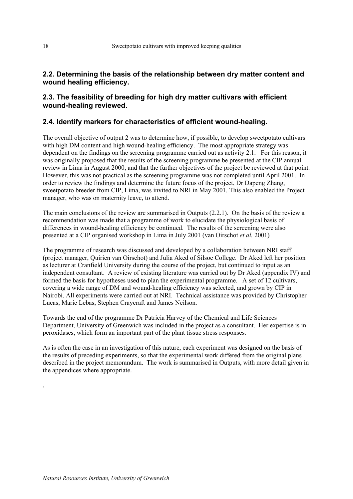### **2.2. Determining the basis of the relationship between dry matter content and wound healing efficiency.**

### **2.3. The feasibility of breeding for high dry matter cultivars with efficient wound-healing reviewed.**

### **2.4. Identify markers for characteristics of efficient wound-healing.**

The overall objective of output 2 was to determine how, if possible, to develop sweetpotato cultivars with high DM content and high wound-healing efficiency. The most appropriate strategy was dependent on the findings on the screening programme carried out as activity 2.1. For this reason, it was originally proposed that the results of the screening programme be presented at the CIP annual review in Lima in August 2000, and that the further objectives of the project be reviewed at that point. However, this was not practical as the screening programme was not completed until April 2001. In order to review the findings and determine the future focus of the project, Dr Dapeng Zhang, sweetpotato breeder from CIP, Lima, was invited to NRI in May 2001. This also enabled the Project manager, who was on maternity leave, to attend.

The main conclusions of the review are summarised in Outputs (2.2.1). On the basis of the review a recommendation was made that a programme of work to elucidate the physiological basis of differences in wound-healing efficiency be continued. The results of the screening were also presented at a CIP organised workshop in Lima in July 2001 (van Oirschot *et al.* 2001)

The programme of research was discussed and developed by a collaboration between NRI staff (project manager, Quirien van Oirschot) and Julia Aked of Silsoe College. Dr Aked left her position as lecturer at Cranfield University during the course of the project, but continued to input as an independent consultant. A review of existing literature was carried out by Dr Aked (appendix IV) and formed the basis for hypotheses used to plan the experimental programme. A set of 12 cultivars, covering a wide range of DM and wound-healing efficiency was selected, and grown by CIP in Nairobi. All experiments were carried out at NRI. Technical assistance was provided by Christopher Lucas, Marie Lebas, Stephen Craycraft and James Neilson.

Towards the end of the programme Dr Patricia Harvey of the Chemical and Life Sciences Department, University of Greenwich was included in the project as a consultant. Her expertise is in peroxidases, which form an important part of the plant tissue stress responses.

As is often the case in an investigation of this nature, each experiment was designed on the basis of the results of preceding experiments, so that the experimental work differed from the original plans described in the project memorandum. The work is summarised in Outputs, with more detail given in the appendices where appropriate.

.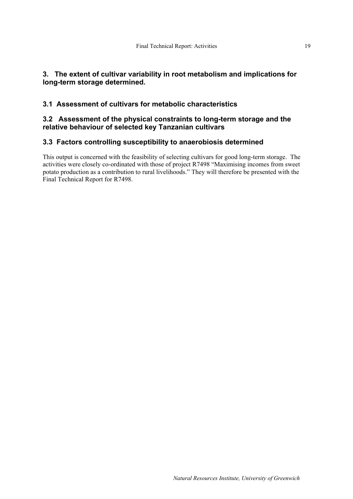# **3. The extent of cultivar variability in root metabolism and implications for long-term storage determined.**

# **3.1 Assessment of cultivars for metabolic characteristics**

# **3.2 Assessment of the physical constraints to long-term storage and the relative behaviour of selected key Tanzanian cultivars**

# **3.3 Factors controlling susceptibility to anaerobiosis determined**

This output is concerned with the feasibility of selecting cultivars for good long-term storage. The activities were closely co-ordinated with those of project R7498 "Maximising incomes from sweet potato production as a contribution to rural livelihoods." They will therefore be presented with the Final Technical Report for R7498.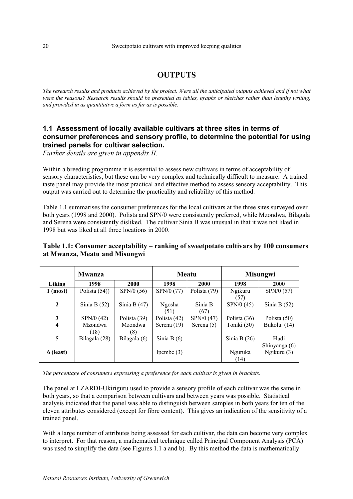# **OUTPUTS**

*The research results and products achieved by the project. Were all the anticipated outputs achieved and if not what were the reasons? Research results should be presented as tables, graphs or sketches rather than lengthy writing, and provided in as quantitative a form as far as is possible.* 

## **1.1 Assessment of locally available cultivars at three sites in terms of consumer preferences and sensory profile, to determine the potential for using trained panels for cultivar selection.**

*Further details are given in appendix II.* 

Within a breeding programme it is essential to assess new cultivars in terms of acceptability of sensory characteristics, but these can be very complex and technically difficult to measure. A trained taste panel may provide the most practical and effective method to assess sensory acceptability. This output was carried out to determine the practicality and reliability of this method.

Table 1.1 summarises the consumer preferences for the local cultivars at the three sites surveyed over both years (1998 and 2000). Polista and SPN/0 were consistently preferred, while Mzondwa, Bilagala and Serena were consistently disliked. The cultivar Sinia B was unusual in that it was not liked in 1998 but was liked at all three locations in 2000.

### **Table 1.1: Consumer acceptability – ranking of sweetpotato cultivars by 100 consumers at Mwanza, Meatu and Misungwi**

|                         | <b>Mwanza</b>          |                       |                | <b>Meatu</b>    | <b>Misungwi</b>        |                       |  |
|-------------------------|------------------------|-----------------------|----------------|-----------------|------------------------|-----------------------|--|
| Liking                  | 1998                   | 2000                  | 1998           | 2000            | 1998                   | <b>2000</b>           |  |
| $1 \text{ (most)}$      | Polista $(54)$         | SPN/0 (56)            | SPN/0 (77)     | Polista (79)    | <b>Ngikuru</b><br>(57) | SPN/0 (57)            |  |
| $\overline{2}$          | Sinia B $(52)$         | Sinia B $(47)$        | Ngosha<br>(51) | Sinia B<br>(67) | SPN/0 (45)             | Sinia B $(52)$        |  |
| 3                       | SPN/0 (42)             | Polista (39)          | Polista (42)   | SPN/0 (47)      | Polista (36)           | Polista (50)          |  |
| $\overline{\mathbf{4}}$ | <b>Mzondwa</b><br>(18) | <b>Mzondwa</b><br>(8) | Serena $(19)$  | Serena (5)      | Toniki (30)            | Bukolu (14)           |  |
| 5                       | Bilagala (28)          | Bilagala (6)          | Sinia B $(6)$  |                 | Sinia B $(26)$         | Hudi<br>Shinyanga (6) |  |
| 6 (least)               |                        |                       | Ipembe $(3)$   |                 | Nguruka<br>(14)        | Ngikuru (3)           |  |

*The percentage of consumers expressing a preference for each cultivar is given in brackets.* 

The panel at LZARDI-Ukiriguru used to provide a sensory profile of each cultivar was the same in both years, so that a comparison between cultivars and between years was possible. Statistical analysis indicated that the panel was able to distinguish between samples in both years for ten of the eleven attributes considered (except for fibre content). This gives an indication of the sensitivity of a trained panel.

With a large number of attributes being assessed for each cultivar, the data can become very complex to interpret. For that reason, a mathematical technique called Principal Component Analysis (PCA) was used to simplify the data (see Figures 1.1 a and b). By this method the data is mathematically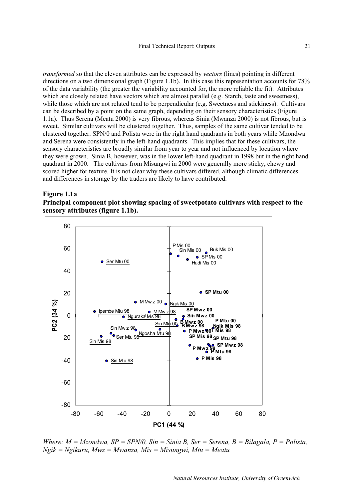*transformed* so that the eleven attributes can be expressed by *vectors* (lines) pointing in different directions on a two dimensional graph (Figure 1.1b). In this case this representation accounts for 78% of the data variability (the greater the variability accounted for, the more reliable the fit). Attributes which are closely related have vectors which are almost parallel (e.g. Starch, taste and sweetness), while those which are not related tend to be perpendicular (e.g. Sweetness and stickiness). Cultivars can be described by a point on the same graph, depending on their sensory characteristics (Figure 1.1a). Thus Serena (Meatu 2000) is very fibrous, whereas Sinia (Mwanza 2000) is not fibrous, but is sweet. Similar cultivars will be clustered together. Thus, samples of the same cultivar tended to be clustered together. SPN/0 and Polista were in the right hand quadrants in both years while Mzondwa and Serena were consistently in the left-hand quadrants. This implies that for these cultivars, the sensory characteristics are broadly similar from year to year and not influenced by location where they were grown. Sinia B, however, was in the lower left-hand quadrant in 1998 but in the right hand quadrant in 2000. The cultivars from Misungwi in 2000 were generally more sticky, chewy and scored higher for texture. It is not clear why these cultivars differed, although climatic differences and differences in storage by the traders are likely to have contributed.





*Where: M = Mzondwa, SP = SPN/0, Sin = Sinia B, Ser = Serena, B = Bilagala, P = Polista, Ngik = Ngikuru, Mwz = Mwanza, Mis = Misungwi, Mtu = Meatu*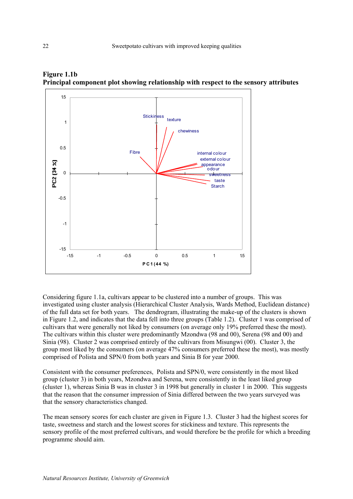



Considering figure 1.1a, cultivars appear to be clustered into a number of groups. This was investigated using cluster analysis (Hierarchical Cluster Analysis, Wards Method, Euclidean distance) of the full data set for both years. The dendrogram, illustrating the make-up of the clusters is shown in Figure 1.2, and indicates that the data fell into three groups (Table 1.2). Cluster 1 was comprised of cultivars that were generally not liked by consumers (on average only 19% preferred these the most). The cultivars within this cluster were predominantly Mzondwa (98 and 00), Serena (98 and 00) and Sinia (98). Cluster 2 was comprised entirely of the cultivars from Misungwi (00). Cluster 3, the group most liked by the consumers (on average 47% consumers preferred these the most), was mostly comprised of Polista and SPN/0 from both years and Sinia B for year 2000.

Consistent with the consumer preferences, Polista and SPN/0, were consistently in the most liked group (cluster 3) in both years, Mzondwa and Serena, were consistently in the least liked group (cluster 1), whereas Sinia B was in cluster 3 in 1998 but generally in cluster 1 in 2000. This suggests that the reason that the consumer impression of Sinia differed between the two years surveyed was that the sensory characteristics changed.

The mean sensory scores for each cluster are given in Figure 1.3. Cluster 3 had the highest scores for taste, sweetness and starch and the lowest scores for stickiness and texture. This represents the sensory profile of the most preferred cultivars, and would therefore be the profile for which a breeding programme should aim.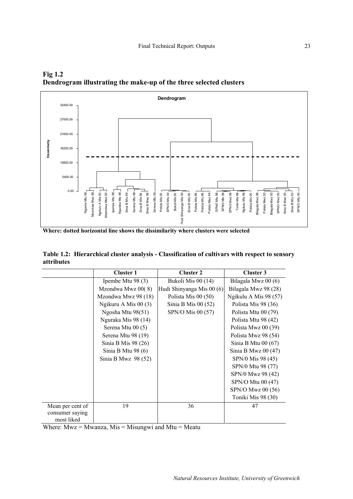

**Fig 1.2 Dendrogram illustrating the make-up of the three selected clusters** 

**Where: dotted horizontal line shows the dissimilarity where clusters were selected** 

|            | Table 1.2: Hierarchical cluster analysis - Classification of cultivars with respect to sensory |
|------------|------------------------------------------------------------------------------------------------|
| attributes |                                                                                                |

|                  | <b>Cluster 1</b>     | <b>Cluster 2</b>          | Cluster 3             |
|------------------|----------------------|---------------------------|-----------------------|
|                  | Ipembe Mtu 98 $(3)$  | Bukoli Mis 00 (14)        | Bilagala Mwz 00 (6)   |
|                  | Mzondwa Mwz 00(8)    | Hudi Shinyanga Mis 00 (6) | Bilagala Mwz 98 (28)  |
|                  | Mzondwa Mwz 98 (18)  | Polista Mis $00(50)$      | Ngikulu A Mis 98 (57) |
|                  | Ngikuru A Mis 00 (3) | Sinia B Mis $00(52)$      | Polista Mis 98 (36)   |
|                  | Ngosha Mtu 98(51)    | SPN/O Mis 00 (57)         | Polista Mtu 00 (79)   |
|                  | Nguraka Mis 98 (14)  |                           | Polista Mtu 98 (42)   |
|                  | Serena Mtu 00 (5)    |                           | Polista Mwz 00 (39)   |
|                  | Serena Mtu 98 (19)   |                           | Polista Mwz 98 (54)   |
|                  | Sinia B Mis $98(26)$ |                           | Sinia B Mtu $00(67)$  |
|                  | Sinia B Mtu 98 $(6)$ |                           | Sinia B Mwz $00(47)$  |
|                  | Sinia B Mwz $98(52)$ |                           | SPN/0 Mis 98 (45)     |
|                  |                      |                           | SPN/0 Mtu 98 (77)     |
|                  |                      |                           | SPN/0 Mwz 98 (42)     |
|                  |                      |                           | SPN/O Mtu 00 (47)     |
|                  |                      |                           | SPN/O Mwz 00 (56)     |
|                  |                      |                           | Toniki Mis 98 (30)    |
| Mean per cent of | 19                   | 36                        | 47                    |
| consumer saying  |                      |                           |                       |
| most liked       |                      |                           |                       |

Where:  $Mwz = Mwanza$ ,  $Mis = Misungwi$  and  $Mtu = Meatu$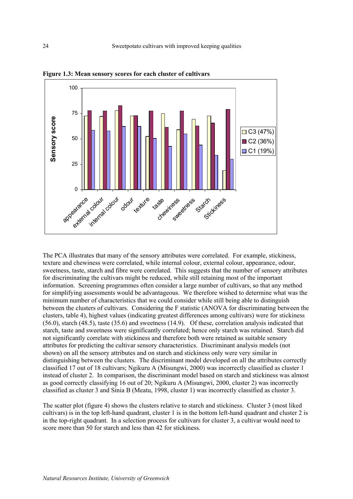

**Figure 1.3: Mean sensory scores for each cluster of cultivars** 

The PCA illustrates that many of the sensory attributes were correlated. For example, stickiness, texture and chewiness were correlated, while internal colour, external colour, appearance, odour, sweetness, taste, starch and fibre were correlated. This suggests that the number of sensory attributes for discriminating the cultivars might be reduced, while still retaining most of the important information. Screening programmes often consider a large number of cultivars, so that any method for simplifying assessments would be advantageous. We therefore wished to determine what was the minimum number of characteristics that we could consider while still being able to distinguish between the clusters of cultivars. Considering the F statistic (ANOVA for discriminating between the clusters, table 4), highest values (indicating greatest differences among cultivars) were for stickiness (56.0), starch (48.5), taste (35.6) and sweetness (14.9). Of these, correlation analysis indicated that starch, taste and sweetness were significantly correlated; hence only starch was retained. Starch did not significantly correlate with stickiness and therefore both were retained as suitable sensory attributes for predicting the cultivar sensory characteristics. Discriminant analysis models (not shown) on all the sensory attributes and on starch and stickiness only were very similar in distinguishing between the clusters. The discriminant model developed on all the attributes correctly classified 17 out of 18 cultivars; Ngikuru A (Misungwi, 2000) was incorrectly classified as cluster 1 instead of cluster 2. In comparison, the discriminant model based on starch and stickiness was almost as good correctly classifying 16 out of 20; Ngikuru A (Misungwi, 2000, cluster 2) was incorrectly classified as cluster 3 and Sinia B (Meatu, 1998, cluster 1) was incorrectly classified as cluster 3.

The scatter plot (figure 4) shows the clusters relative to starch and stickiness. Cluster 3 (most liked cultivars) is in the top left-hand quadrant, cluster 1 is in the bottom left-hand quadrant and cluster 2 is in the top-right quadrant. In a selection process for cultivars for cluster 3, a cultivar would need to score more than 50 for starch and less than 42 for stickiness.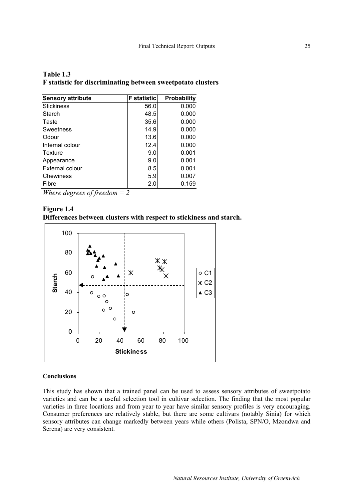| Table 1.3 |                                                             |  |
|-----------|-------------------------------------------------------------|--|
|           | F statistic for discriminating between sweetpotato clusters |  |

| <b>Sensory attribute</b> | <b>F</b> statistic | <b>Probability</b> |
|--------------------------|--------------------|--------------------|
| <b>Stickiness</b>        | 56.0               | 0.000              |
| Starch                   | 48.5               | 0.000              |
| Taste                    | 35.6               | 0.000              |
| Sweetness                | 14.9               | 0.000              |
| Odour                    | 13.6               | 0.000              |
| Internal colour          | 12.4               | 0.000              |
| Texture                  | 9.0                | 0.001              |
| Appearance               | 9.0                | 0.001              |
| <b>External colour</b>   | 8.5                | 0.001              |
| Chewiness                | 5.9                | 0.007              |
| Fibre                    | 2.0                | 0.159              |

*Where degrees of freedom = 2* 





#### **Conclusions**

This study has shown that a trained panel can be used to assess sensory attributes of sweetpotato varieties and can be a useful selection tool in cultivar selection. The finding that the most popular varieties in three locations and from year to year have similar sensory profiles is very encouraging. Consumer preferences are relatively stable, but there are some cultivars (notably Sinia) for which sensory attributes can change markedly between years while others (Polista, SPN/O, Mzondwa and Serena) are very consistent.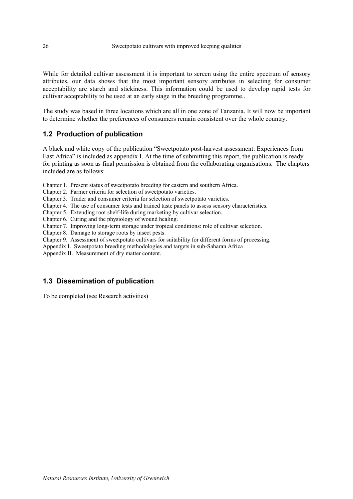While for detailed cultivar assessment it is important to screen using the entire spectrum of sensory attributes, our data shows that the most important sensory attributes in selecting for consumer acceptability are starch and stickiness. This information could be used to develop rapid tests for cultivar acceptability to be used at an early stage in the breeding programme..

The study was based in three locations which are all in one zone of Tanzania. It will now be important to determine whether the preferences of consumers remain consistent over the whole country.

### **1.2 Production of publication**

A black and white copy of the publication "Sweetpotato post-harvest assessment: Experiences from East Africa" is included as appendix I. At the time of submitting this report, the publication is ready for printing as soon as final permission is obtained from the collaborating organisations. The chapters included are as follows:

Chapter 1. Present status of sweetpotato breeding for eastern and southern Africa.

Chapter 2. Farmer criteria for selection of sweetpotato varieties.

Chapter 3. Trader and consumer criteria for selection of sweetpotato varieties.

Chapter 4. The use of consumer tests and trained taste panels to assess sensory characteristics.

Chapter 5. Extending root shelf-life during marketing by cultivar selection.

Chapter 6. Curing and the physiology of wound healing.

Chapter 7. Improving long-term storage under tropical conditions: role of cultivar selection.

Chapter 8. Damage to storage roots by insect pests.

Chapter 9. Assessment of sweetpotato cultivars for suitability for different forms of processing.

Appendix I. Sweetpotato breeding methodologies and targets in sub-Saharan Africa

Appendix II. Measurement of dry matter content.

### **1.3 Dissemination of publication**

To be completed (see Research activities)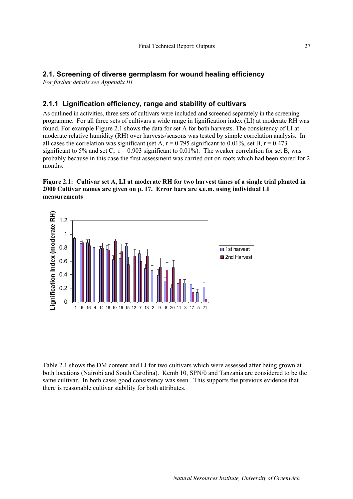### **2.1. Screening of diverse germplasm for wound healing efficiency**

*For further details see Appendix III* 

# **2.1.1 Lignification efficiency, range and stability of cultivars**

As outlined in activities, three sets of cultivars were included and screened separately in the screening programme. For all three sets of cultivars a wide range in lignification index (LI) at moderate RH was found. For example Figure 2.1 shows the data for set A for both harvests. The consistency of LI at moderate relative humidity (RH) over harvests/seasons was tested by simple correlation analysis. In all cases the correlation was significant (set A,  $r = 0.795$  significant to 0.01%, set B,  $r = 0.473$ significant to 5% and set C,  $r = 0.903$  significant to 0.01%). The weaker correlation for set B, was probably because in this case the first assessment was carried out on roots which had been stored for 2 months.

#### **Figure 2.1: Cultivar set A, LI at moderate RH for two harvest times of a single trial planted in 2000 Cultivar names are given on p. 17. Error bars are s.e.m. using individual LI measurements**



Table 2.1 shows the DM content and LI for two cultivars which were assessed after being grown at both locations (Nairobi and South Carolina). Kemb 10, SPN/0 and Tanzania are considered to be the same cultivar. In both cases good consistency was seen. This supports the previous evidence that there is reasonable cultivar stability for both attributes.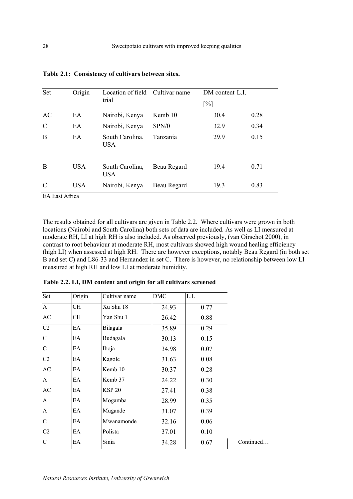| Set           | Origin     | Location of field Cultivar name | DM content L.I.   |      |      |
|---------------|------------|---------------------------------|-------------------|------|------|
|               |            | trial                           | $\lceil\% \rceil$ |      |      |
| AC            | EA         | Nairobi, Kenya                  | Kemb 10           | 30.4 | 0.28 |
| $\mathcal{C}$ | EA         | Nairobi, Kenya                  | SPN/0             | 32.9 | 0.34 |
| B             | EA         | South Carolina,<br><b>USA</b>   | Tanzania          | 29.9 | 0.15 |
| B             | <b>USA</b> | South Carolina,<br><b>USA</b>   | Beau Regard       | 19.4 | 0.71 |
| C             | <b>USA</b> | Nairobi, Kenya                  | Beau Regard       | 19.3 | 0.83 |

|  | Table 2.1: Consistency of cultivars between sites. |  |  |  |
|--|----------------------------------------------------|--|--|--|
|--|----------------------------------------------------|--|--|--|

EA East Africa

The results obtained for all cultivars are given in Table 2.2. Where cultivars were grown in both locations (Nairobi and South Carolina) both sets of data are included. As well as LI measured at moderate RH, LI at high RH is also included. As observed previously, (van Oirschot 2000), in contrast to root behaviour at moderate RH, most cultivars showed high wound healing efficiency (high LI) when assessed at high RH. There are however exceptions, notably Beau Regard (in both set B and set C) and L86-33 and Hernandez in set C. There is however, no relationship between low LI measured at high RH and low LI at moderate humidity.

| Set            | Origin    | Cultivar name | <b>DMC</b> | L.I. |           |
|----------------|-----------|---------------|------------|------|-----------|
| $\overline{A}$ | CH        | Xu Shu 18     | 24.93      | 0.77 |           |
| AC             | <b>CH</b> | Yan Shu 1     | 26.42      | 0.88 |           |
| C2             | EA        | Bilagala      | 35.89      | 0.29 |           |
| $\mathcal{C}$  | EA        | Budagala      | 30.13      | 0.15 |           |
| $\mathcal{C}$  | EA        | Iboja         | 34.98      | 0.07 |           |
| C <sub>2</sub> | ЕA        | Kagole        | 31.63      | 0.08 |           |
| AC             | ЕA        | Kemb 10       | 30.37      | 0.28 |           |
| A              | EA        | Kemb 37       | 24.22      | 0.30 |           |
| AC             | EA        | <b>KSP 20</b> | 27.41      | 0.38 |           |
| $\mathbf{A}$   | ЕA        | Mogamba       | 28.99      | 0.35 |           |
| A              | EA        | Mugande       | 31.07      | 0.39 |           |
| $\mathcal{C}$  | EA        | Mwanamonde    | 32.16      | 0.06 |           |
| C <sub>2</sub> | EA        | Polista       | 37.01      | 0.10 |           |
| $\mathcal{C}$  | EA        | Sinia         | 34.28      | 0.67 | Continued |

**Table 2.2. LI, DM content and origin for all cultivars screened**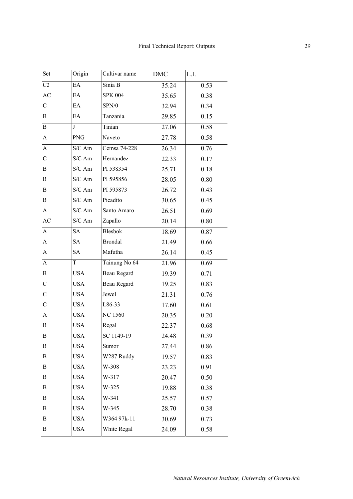| Set              | Origin       | Cultivar name  | DMC   | L.I. |
|------------------|--------------|----------------|-------|------|
| C2               | EA           | Sinia B        | 35.24 | 0.53 |
| AC               | EA           | <b>SPK 004</b> | 35.65 | 0.38 |
| $\mathcal{C}$    | EA           | SPN/0          | 32.94 | 0.34 |
| B                | EA           | Tanzania       | 29.85 | 0.15 |
| $\, {\bf B}$     | $\mathbf{J}$ | Tinian         | 27.06 | 0.58 |
| $\overline{A}$   | <b>PNG</b>   | Naveto         | 27.78 | 0.58 |
| $\overline{A}$   | S/C Am       | Cemsa 74-228   | 26.34 | 0.76 |
| $\mathcal{C}$    | S/C Am       | Hernandez      | 22.33 | 0.17 |
| B                | $S/C$ Am     | PI 538354      | 25.71 | 0.18 |
| B                | S/C Am       | PI 595856      | 28.05 | 0.80 |
| $\bf{B}$         | S/C Am       | PI 595873      | 26.72 | 0.43 |
| B                | S/C Am       | Picadito       | 30.65 | 0.45 |
| $\mathbf{A}$     | S/C Am       | Santo Amaro    | 26.51 | 0.69 |
| <b>AC</b>        | S/C Am       | Zapallo        | 20.14 | 0.80 |
| $\mathbf{A}$     | <b>SA</b>    | <b>Blesbok</b> | 18.69 | 0.87 |
| $\mathbf{A}$     | <b>SA</b>    | <b>Brondal</b> | 21.49 | 0.66 |
| $\mathbf{A}$     | <b>SA</b>    | Mafutha        | 26.14 | 0.45 |
| $\mathbf{A}$     | T            | Tainung No 64  | 21.96 | 0.69 |
| $\, {\bf B}$     | <b>USA</b>   | Beau Regard    | 19.39 | 0.71 |
| $\mathbf C$      | <b>USA</b>   | Beau Regard    | 19.25 | 0.83 |
| $\mathcal{C}$    | <b>USA</b>   | Jewel          | 21.31 | 0.76 |
| $\mathcal{C}$    | <b>USA</b>   | L86-33         | 17.60 | 0.61 |
| A                | <b>USA</b>   | <b>NC 1560</b> | 20.35 | 0.20 |
| B                | <b>USA</b>   | Regal          | 22.37 | 0.68 |
| B                | <b>USA</b>   | SC 1149-19     | 24.48 | 0.39 |
| B                | <b>USA</b>   | Sumor          | 27.44 | 0.86 |
| B                | <b>USA</b>   | W287 Ruddy     | 19.57 | 0.83 |
| B                | <b>USA</b>   | W-308          | 23.23 | 0.91 |
| B                | <b>USA</b>   | W-317          | 20.47 | 0.50 |
| B                | <b>USA</b>   | W-325          | 19.88 | 0.38 |
| B                | <b>USA</b>   | W-341          | 25.57 | 0.57 |
| B                | <b>USA</b>   | $W-345$        | 28.70 | 0.38 |
| B                | <b>USA</b>   | W364 97k-11    | 30.69 | 0.73 |
| $\boldsymbol{B}$ | <b>USA</b>   | White Regal    | 24.09 | 0.58 |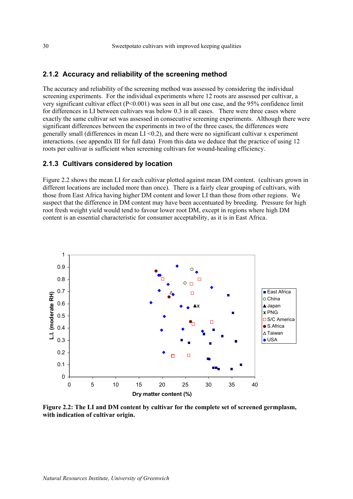### **2.1.2 Accuracy and reliability of the screening method**

The accuracy and reliability of the screening method was assessed by considering the individual screening experiments. For the individual experiments where 12 roots are assessed per cultivar, a very significant cultivar effect (P<0.001) was seen in all but one case, and the 95% confidence limit for differences in LI between cultivars was below 0.3 in all cases. There were three cases where exactly the same cultivar set was assessed in consecutive screening experiments. Although there were significant differences between the experiments in two of the three cases, the differences were generally small (differences in mean  $LI < 0.2$ ), and there were no significant cultivar x experiment interactions. (see appendix III for full data) From this data we deduce that the practice of using 12 roots per cultivar is sufficient when screening cultivars for wound-healing efficiency.

### **2.1.3 Cultivars considered by location**

Figure 2.2 shows the mean LI for each cultivar plotted against mean DM content. (cultivars grown in different locations are included more than once). There is a fairly clear grouping of cultivars, with those from East Africa having higher DM content and lower LI than those from other regions. We suspect that the difference in DM content may have been accentuated by breeding. Pressure for high root fresh weight yield would tend to favour lower root DM, except in regions where high DM content is an essential characteristic for consumer acceptability, as it is in East Africa.



**Figure 2.2: The LI and DM content by cultivar for the complete set of screened germplasm, with indication of cultivar origin.**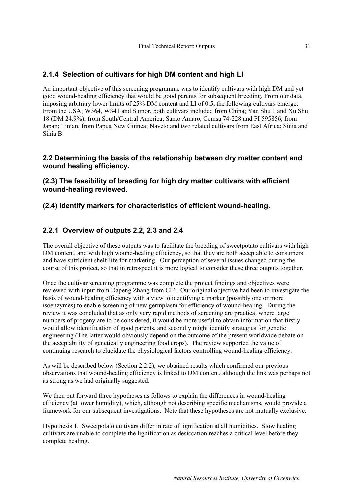# **2.1.4 Selection of cultivars for high DM content and high LI**

An important objective of this screening programme was to identify cultivars with high DM and yet good wound-healing efficiency that would be good parents for subsequent breeding. From our data, imposing arbitrary lower limits of 25% DM content and LI of 0.5, the following cultivars emerge: From the USA; W364, W341 and Sumor, both cultivars included from China; Yan Shu 1 and Xu Shu 18 (DM 24.9%), from South/Central America; Santo Amaro, Cemsa 74-228 and PI 595856, from Japan; Tinian, from Papua New Guinea; Naveto and two related cultivars from East Africa; Sinia and Sinia B.

### **2.2 Determining the basis of the relationship between dry matter content and wound healing efficiency.**

**(2.3) The feasibility of breeding for high dry matter cultivars with efficient wound-healing reviewed.** 

**(2.4) Identify markers for characteristics of efficient wound-healing.** 

# **2.2.1 Overview of outputs 2.2, 2.3 and 2.4**

The overall objective of these outputs was to facilitate the breeding of sweetpotato cultivars with high DM content, and with high wound-healing efficiency, so that they are both acceptable to consumers and have sufficient shelf-life for marketing. Our perception of several issues changed during the course of this project, so that in retrospect it is more logical to consider these three outputs together.

Once the cultivar screening programme was complete the project findings and objectives were reviewed with input from Dapeng Zhang from CIP. Our original objective had been to investigate the basis of wound-healing efficiency with a view to identifying a marker (possibly one or more isoenzymes) to enable screening of new germplasm for efficiency of wound-healing. During the review it was concluded that as only very rapid methods of screening are practical where large numbers of progeny are to be considered, it would be more useful to obtain information that firstly would allow identification of good parents, and secondly might identify strategies for genetic engineering (The latter would obviously depend on the outcome of the present worldwide debate on the acceptability of genetically engineering food crops). The review supported the value of continuing research to elucidate the physiological factors controlling wound-healing efficiency.

As will be described below (Section 2.2.2), we obtained results which confirmed our previous observations that wound-healing efficiency is linked to DM content, although the link was perhaps not as strong as we had originally suggested.

We then put forward three hypotheses as follows to explain the differences in wound-healing efficiency (at lower humidity), which, although not describing specific mechanisms, would provide a framework for our subsequent investigations. Note that these hypotheses are not mutually exclusive.

Hypothesis 1. Sweetpotato cultivars differ in rate of lignification at all humidities. Slow healing cultivars are unable to complete the lignification as desiccation reaches a critical level before they complete healing.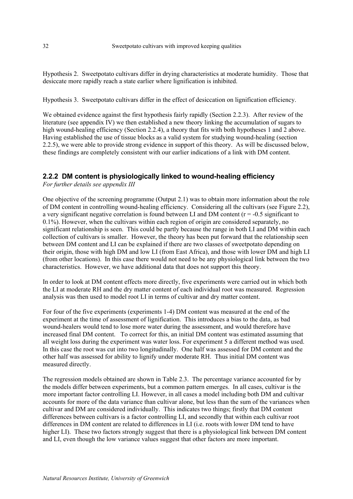Hypothesis 2. Sweetpotato cultivars differ in drying characteristics at moderate humidity. Those that desiccate more rapidly reach a state earlier where lignification is inhibited.

Hypothesis 3. Sweetpotato cultivars differ in the effect of desiccation on lignification efficiency.

We obtained evidence against the first hypothesis fairly rapidly (Section 2.2.3). After review of the literature (see appendix IV) we then established a new theory linking the accumulation of sugars to high wound-healing efficiency (Section 2.2.4), a theory that fits with both hypotheses 1 and 2 above. Having established the use of tissue blocks as a valid system for studying wound-healing (section 2.2.5), we were able to provide strong evidence in support of this theory. As will be discussed below, these findings are completely consistent with our earlier indications of a link with DM content.

### **2.2.2 DM content is physiologically linked to wound-healing efficiency**

*For further details see appendix III* 

One objective of the screening programme (Output 2.1) was to obtain more information about the role of DM content in controlling wound-healing efficiency. Considering all the cultivars (see Figure 2.2), a very significant negative correlation is found between LI and DM content ( $r = -0.5$  significant to 0.1%). However, when the cultivars within each region of origin are considered separately, no significant relationship is seen. This could be partly because the range in both LI and DM within each collection of cultivars is smaller. However, the theory has been put forward that the relationship seen between DM content and LI can be explained if there are two classes of sweetpotato depending on their origin, those with high DM and low LI (from East Africa), and those with lower DM and high LI (from other locations). In this case there would not need to be any physiological link between the two characteristics. However, we have additional data that does not support this theory.

In order to look at DM content effects more directly, five experiments were carried out in which both the LI at moderate RH and the dry matter content of each individual root was measured. Regression analysis was then used to model root LI in terms of cultivar and dry matter content.

For four of the five experiments (experiments 1-4) DM content was measured at the end of the experiment at the time of assessment of lignification. This introduces a bias to the data, as bad wound-healers would tend to lose more water during the assessment, and would therefore have increased final DM content. To correct for this, an initial DM content was estimated assuming that all weight loss during the experiment was water loss. For experiment 5 a different method was used. In this case the root was cut into two longitudinally. One half was assessed for DM content and the other half was assessed for ability to lignify under moderate RH. Thus initial DM content was measured directly.

The regression models obtained are shown in Table 2.3. The percentage variance accounted for by the models differ between experiments, but a common pattern emerges. In all cases, cultivar is the more important factor controlling LI. However, in all cases a model including both DM and cultivar accounts for more of the data variance than cultivar alone, but less than the sum of the variances when cultivar and DM are considered individually. This indicates two things; firstly that DM content differences between cultivars is a factor controlling LI, and secondly that within each cultivar root differences in DM content are related to differences in LI (i.e. roots with lower DM tend to have higher LI). These two factors strongly suggest that there is a physiological link between DM content and LI, even though the low variance values suggest that other factors are more important.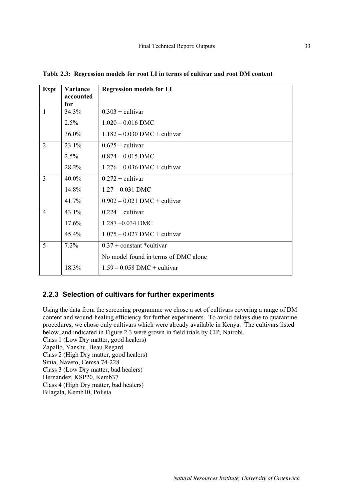| Expt           | Variance<br>accounted | <b>Regression models for LI</b>      |
|----------------|-----------------------|--------------------------------------|
|                | for                   |                                      |
| $\mathbf{1}$   | 34.3%                 | $0.303 +$ cultivar                   |
|                | 2.5%                  | $1.020 - 0.016$ DMC                  |
|                | 36.0%                 | $1.182 - 0.030$ DMC + cultivar       |
| 2              | 23.1%                 | $0.625 +$ cultivar                   |
|                | 2.5%                  | $0.874 - 0.015$ DMC                  |
|                | 28.2%                 | $1.276 - 0.036$ DMC + cultivar       |
| $\overline{3}$ | 40.0%                 | $0.272 +$ cultivar                   |
|                | 14.8%                 | $1.27 - 0.031$ DMC                   |
|                | 41.7%                 | $0.902 - 0.021$ DMC + cultivar       |
| $\overline{4}$ | 43.1%                 | $0.224 +$ cultivar                   |
|                | 17.6%                 | $1287 - 0034$ DMC                    |
|                | $45.4\%$              | $1.075 - 0.027$ DMC + cultivar       |
| 5              | 7.2%                  | $0.37 +$ constant *cultivar          |
|                |                       | No model found in terms of DMC alone |
|                | 18.3%                 | $1.59 - 0.058$ DMC + cultivar        |

**Table 2.3: Regression models for root LI in terms of cultivar and root DM content** 

#### **2.2.3 Selection of cultivars for further experiments**

Using the data from the screening programme we chose a set of cultivars covering a range of DM content and wound-healing efficiency for further experiments. To avoid delays due to quarantine procedures, we chose only cultivars which were already available in Kenya. The cultivars listed below, and indicated in Figure 2.3 were grown in field trials by CIP, Nairobi.

Class 1 (Low Dry matter, good healers) Zapallo, Yanshu, Beau Regard Class 2 (High Dry matter, good healers)

Sinia, Naveto, Cemsa 74-228

Class 3 (Low Dry matter, bad healers)

Hernandez, KSP20, Kemb37

Class 4 (High Dry matter, bad healers)

Bilagala, Kemb10, Polista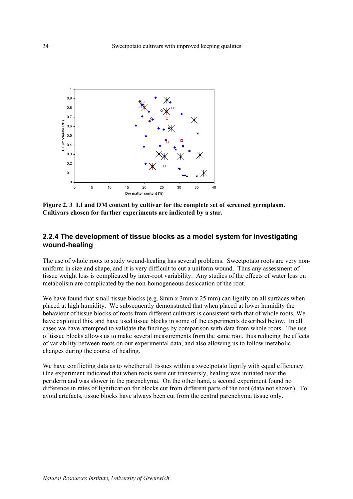

**Figure 2. 3 LI and DM content by cultivar for the complete set of screened germplasm. Cultivars chosen for further experiments are indicated by a star.** 

### **2.2.4 The development of tissue blocks as a model system for investigating wound-healing**

The use of whole roots to study wound-healing has several problems. Sweetpotato roots are very nonuniform in size and shape, and it is very difficult to cut a uniform wound. Thus any assessment of tissue weight loss is complicated by inter-root variability. Any studies of the effects of water loss on metabolism are complicated by the non-homogeneous desiccation of the root.

We have found that small tissue blocks (e.g. 8mm x 3mm x 25 mm) can lignify on all surfaces when placed at high humidity. We subsequently demonstrated that when placed at lower humidity the behaviour of tissue blocks of roots from different cultivars is consistent with that of whole roots. We have exploited this, and have used tissue blocks in some of the experiments described below. In all cases we have attempted to validate the findings by comparison with data from whole roots. The use of tissue blocks allows us to make several measurements from the same root, thus reducing the effects of variability between roots on our experimental data, and also allowing us to follow metabolic changes during the course of healing.

We have conflicting data as to whether all tissues within a sweetpotato lignify with equal efficiency. One experiment indicated that when roots were cut transversly, healing was initiated near the periderm and was slower in the parenchyma. On the other hand, a second experiment found no difference in rates of lignification for blocks cut from different parts of the root (data not shown). To avoid artefacts, tissue blocks have always been cut from the central parenchyma tissue only.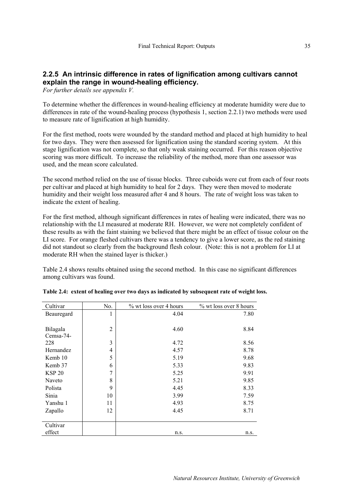# **2.2.5 An intrinsic difference in rates of lignification among cultivars cannot explain the range in wound-healing efficiency.**

*For further details see appendix V.* 

To determine whether the differences in wound-healing efficiency at moderate humidity were due to differences in rate of the wound-healing process (hypothesis 1, section 2.2.1) two methods were used to measure rate of lignification at high humidity.

For the first method, roots were wounded by the standard method and placed at high humidity to heal for two days. They were then assessed for lignification using the standard scoring system. At this stage lignification was not complete, so that only weak staining occurred. For this reason objective scoring was more difficult. To increase the reliability of the method, more than one assessor was used, and the mean score calculated.

The second method relied on the use of tissue blocks. Three cuboids were cut from each of four roots per cultivar and placed at high humidity to heal for 2 days. They were then moved to moderate humidity and their weight loss measured after 4 and 8 hours. The rate of weight loss was taken to indicate the extent of healing.

For the first method, although significant differences in rates of healing were indicated, there was no relationship with the LI measured at moderate RH. However, we were not completely confident of these results as with the faint staining we believed that there might be an effect of tissue colour on the LI score. For orange fleshed cultivars there was a tendency to give a lower score, as the red staining did not standout so clearly from the background flesh colour. (Note: this is not a problem for LI at moderate RH when the stained layer is thicker.)

Table 2.4 shows results obtained using the second method. In this case no significant differences among cultivars was found.

| Cultivar      | No.            | % wt loss over 4 hours | % wt loss over 8 hours |
|---------------|----------------|------------------------|------------------------|
| Beauregard    | 1              | 4.04                   | 7.80                   |
|               |                |                        |                        |
| Bilagala      | $\mathfrak{2}$ | 4.60                   | 8.84                   |
| Cemsa-74-     |                |                        |                        |
| 228           | 3              | 4.72                   | 8.56                   |
| Hernandez     | 4              | 4.57                   | 8.78                   |
| Kemb 10       | 5              | 5.19                   | 9.68                   |
| Kemb 37       | 6              | 5.33                   | 9.83                   |
| <b>KSP 20</b> | 7              | 5.25                   | 9.91                   |
| Naveto        | 8              | 5.21                   | 9.85                   |
| Polista       | 9              | 4.45                   | 8.33                   |
| Sinia         | 10             | 3.99                   | 7.59                   |
| Yanshu 1      | 11             | 4.93                   | 8.75                   |
| Zapallo       | 12             | 4.45                   | 8.71                   |
|               |                |                        |                        |
| Cultivar      |                |                        |                        |
| effect        |                | n.s.                   | n.s.                   |

|  |  |  |  |  | Table 2.4: extent of healing over two days as indicated by subsequent rate of weight loss. |  |
|--|--|--|--|--|--------------------------------------------------------------------------------------------|--|
|--|--|--|--|--|--------------------------------------------------------------------------------------------|--|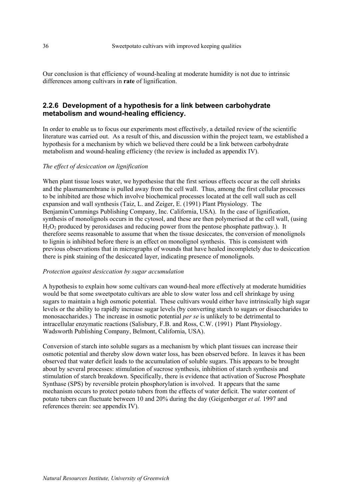Our conclusion is that efficiency of wound-healing at moderate humidity is not due to intrinsic differences among cultivars in **rate** of lignification.

### **2.2.6 Development of a hypothesis for a link between carbohydrate metabolism and wound-healing efficiency.**

In order to enable us to focus our experiments most effectively, a detailed review of the scientific literature was carried out. As a result of this, and discussion within the project team, we established a hypothesis for a mechanism by which we believed there could be a link between carbohydrate metabolism and wound-healing efficiency (the review is included as appendix IV).

#### *The effect of desiccation on lignification*

When plant tissue loses water, we hypothesise that the first serious effects occur as the cell shrinks and the plasmamembrane is pulled away from the cell wall. Thus, among the first cellular processes to be inhibited are those which involve biochemical processes located at the cell wall such as cell expansion and wall synthesis (Taiz, L. and Zeiger, E. (1991) Plant Physiology. The Benjamin/Cummings Publishing Company, Inc. California, USA). In the case of lignification, synthesis of monolignols occurs in the cytosol, and these are then polymerised at the cell wall, (using  $H_2O_2$  produced by peroxidases and reducing power from the pentose phosphate pathway.). It therefore seems reasonable to assume that when the tissue desiccates, the conversion of monolignols to lignin is inhibited before there is an effect on monolignol synthesis. This is consistent with previous observations that in micrographs of wounds that have healed incompletely due to desiccation there is pink staining of the desiccated layer, indicating presence of monolignols.

#### *Protection against desiccation by sugar accumulation*

A hypothesis to explain how some cultivars can wound-heal more effectively at moderate humidities would be that some sweetpotato cultivars are able to slow water loss and cell shrinkage by using sugars to maintain a high osmotic potential. These cultivars would either have intrinsically high sugar levels or the ability to rapidly increase sugar levels (by converting starch to sugars or disaccharides to monosaccharides.) The increase in osmotic potential *per se* is unlikely to be detrimental to intracellular enzymatic reactions (Salisbury, F.B. and Ross, C.W. (1991) Plant Physiology. Wadsworth Publishing Company, Belmont, California, USA).

Conversion of starch into soluble sugars as a mechanism by which plant tissues can increase their osmotic potential and thereby slow down water loss, has been observed before. In leaves it has been observed that water deficit leads to the accumulation of soluble sugars. This appears to be brought about by several processes: stimulation of sucrose synthesis, inhibition of starch synthesis and stimulation of starch breakdown. Specifically, there is evidence that activation of Sucrose Phosphate Synthase (SPS) by reversible protein phosphorylation is involved. It appears that the same mechanism occurs to protect potato tubers from the effects of water deficit. The water content of potato tubers can fluctuate between 10 and 20% during the day (Geigenberger *et al.* 1997 and references therein: see appendix IV).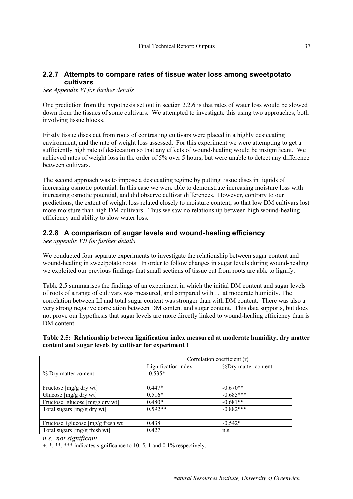# **2.2.7 Attempts to compare rates of tissue water loss among sweetpotato cultivars**

*See Appendix VI for further details* 

One prediction from the hypothesis set out in section 2.2.6 is that rates of water loss would be slowed down from the tissues of some cultivars. We attempted to investigate this using two approaches, both involving tissue blocks.

Firstly tissue discs cut from roots of contrasting cultivars were placed in a highly desiccating environment, and the rate of weight loss assessed. For this experiment we were attempting to get a sufficiently high rate of desiccation so that any effects of wound-healing would be insignificant. We achieved rates of weight loss in the order of 5% over 5 hours, but were unable to detect any difference between cultivars.

The second approach was to impose a desiccating regime by putting tissue discs in liquids of increasing osmotic potential. In this case we were able to demonstrate increasing moisture loss with increasing osmotic potential, and did observe cultivar differences. However, contrary to our predictions, the extent of weight loss related closely to moisture content, so that low DM cultivars lost more moisture than high DM cultivars. Thus we saw no relationship between high wound-healing efficiency and ability to slow water loss.

# **2.2.8 A comparison of sugar levels and wound-healing efficiency**

*See appendix VII for further details* 

We conducted four separate experiments to investigate the relationship between sugar content and wound-healing in sweetpotato roots. In order to follow changes in sugar levels during wound-healing we exploited our previous findings that small sections of tissue cut from roots are able to lignify.

Table 2.5 summarises the findings of an experiment in which the initial DM content and sugar levels of roots of a range of cultivars was measured, and compared with LI at moderate humidity. The correlation between LI and total sugar content was stronger than with DM content. There was also a very strong negative correlation between DM content and sugar content. This data supports, but does not prove our hypothesis that sugar levels are more directly linked to wound-healing efficiency than is DM content.

**Table 2.5: Relationship between lignification index measured at moderate humidity, dry matter content and sugar levels by cultivar for experiment 1** 

|                                    |                     | Correlation coefficient (r) |
|------------------------------------|---------------------|-----------------------------|
|                                    | Lignification index | %Dry matter content         |
| % Dry matter content               | $-0.535*$           |                             |
|                                    |                     |                             |
| Fructose $[mg/g]$ dry wt           | $0.447*$            | $-0.670**$                  |
| Glucose [mg/g dry wt]              | $0.516*$            | $-0.685***$                 |
| Fructose+glucose [mg/g dry wt]     | $0.480*$            | $-0.681**$                  |
| Total sugars [mg/g dry wt]         | $0.592**$           | $-0.882***$                 |
|                                    |                     |                             |
| Fructose +glucose $[mg/g$ fresh wt | $0.438+$            | $-0.542*$                   |
| Total sugars [mg/g fresh wt]       | $0.427+$            | n.s.                        |

#### *n.s. not significant*

 $+$ , \*, \*\*, \*\*\* indicates significance to 10, 5, 1 and 0.1% respectively.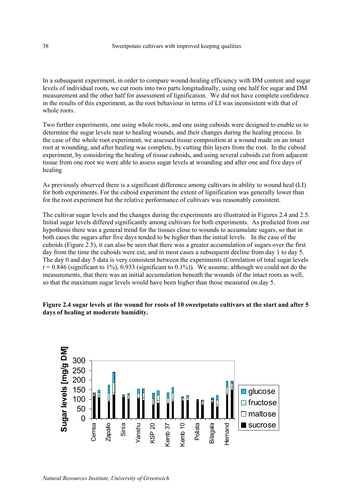In a subsequent experiment, in order to compare wound-healing efficiency with DM content and sugar levels of individual roots, we cut roots into two parts longitudinally, using one half for sugar and DM measurement and the other half for assessment of lignification. We did not have complete confidence in the results of this experiment, as the root behaviour in terms of LI was inconsistent with that of whole roots.

Two further experiments, one using whole roots, and one using cuboids were designed to enable us to determine the sugar levels near to healing wounds, and their changes during the healing process. In the case of the whole root experiment, we assessed tissue composition at a wound made on an intact root at wounding, and after healing was complete, by cutting thin layers from the root. In the cuboid experiment, by considering the healing of tissue cuboids, and using several cuboids cut from adjacent tissue from one root we were able to assess sugar levels at wounding and after one and five days of healing

As previously observed there is a significant difference among cultivars in ability to wound heal (LI) for both experiments. For the cuboid experiment the extent of lignification was generally lower than for the root experiment but the relative performance of cultivars was reasonably consistent.

The cultivar sugar levels and the changes during the experiments are illustrated in Figures 2.4 and 2.5. Initial sugar levels differed significantly among cultivars for both experiments. As predicted from our hypothesis there was a general trend for the tissues close to wounds to accumulate sugars, so that in both cases the sugars after five days tended to be higher than the initial levels. In the case of the cuboids (Figure 2.5), it can also be seen that there was a greater accumulation of sugars over the first day from the time the cuboids were cut, and in most cases a subsequent decline from day 1 to day 5. The day 0 and day 5 data is very consistent between the experiments (Correlation of total sugar levels  $r = 0.846$  (significant to 1%), 0.933 (significant to 0.1%)). We assume, although we could not do the measurements, that there was an initial accumulation beneath the wounds of the intact roots as well, so that the maximum sugar levels would have been higher than those measured on day 5.

#### **Figure 2.4 sugar levels at the wound for roots of 10 sweetpotato cultivars at the start and after 5 days of healing at moderate humidity.**

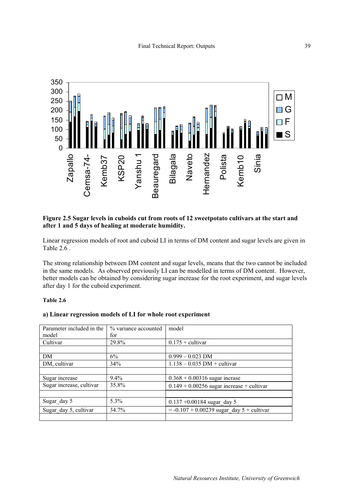

#### **Figure 2.5 Sugar levels in cuboids cut from roots of 12 sweetpotato cultivars at the start and after 1 and 5 days of healing at moderate humidity.**

Linear regression models of root and cuboid LI in terms of DM content and sugar levels are given in Table 2.6 .

The strong relationship between DM content and sugar levels, means that the two cannot be included in the same models. As observed previously LI can be modelled in terms of DM content. However, better models can be obtained by considering sugar increase for the root experiment, and sugar levels after day 1 for the cuboid experiment.

#### **Table 2.6**

#### **a) Linear regression models of LI for whole root experiment**

| Parameter included in the | % variance accounted | model                                       |
|---------------------------|----------------------|---------------------------------------------|
| model                     | for                  |                                             |
| Cultivar                  | 29.8%                | $0.175 +$ cultivar                          |
|                           |                      |                                             |
| DM                        | 6%                   | $0.999 - 0.023$ DM                          |
| DM, cultivar              | 34%                  | $1.138 - 0.035$ DM + cultivar               |
|                           |                      |                                             |
| Sugar increase            | $9.4\%$              | $0.368 + 0.00316$ sugar incrase             |
| Sugar increase, cultivar  | 35.8%                | $0.149 + 0.00256$ sugar increase + cultivar |
|                           |                      |                                             |
| Sugar day 5               | $5.3\%$              | $0.137 + 0.00184$ sugar day 5               |
| Sugar day 5, cultivar     | 34.7%                | $= -0.107 + 0.00239$ sugar day 5 + cultivar |
|                           |                      |                                             |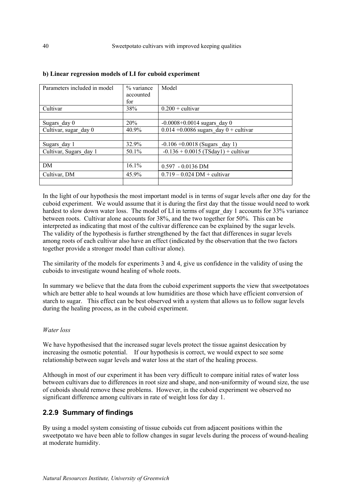| Parameters included in model | % variance<br>accounted<br>for | Model                                      |
|------------------------------|--------------------------------|--------------------------------------------|
| Cultivar                     | 38%                            | $0.200 +$ cultivar                         |
|                              |                                |                                            |
| Sugars day 0                 | 20%                            | $-0.0008 + 0.0014$ sugars day 0            |
| Cultivar, sugar day 0        | 40.9%                          | $0.014 + 0.0086$ sugars day $0 +$ cultivar |
|                              |                                |                                            |
| Sugars day 1                 | 32.9%                          | $-0.106 + 0.0018$ (Sugars _day 1)          |
| Cultivar, Sugars day 1       | 50.1%                          | $-0.136 + 0.0015$ (TSday1) + cultivar      |
|                              |                                |                                            |
| DM                           | 16.1%                          | $0.597 - 0.0136$ DM                        |
| Cultivar, DM                 | 45.9%                          | $0.719 - 0.024$ DM + cultivar              |
|                              |                                |                                            |

#### **b) Linear regression models of LI for cuboid experiment**

In the light of our hypothesis the most important model is in terms of sugar levels after one day for the cuboid experiment. We would assume that it is during the first day that the tissue would need to work hardest to slow down water loss. The model of LI in terms of sugar day 1 accounts for 33% variance between roots. Cultivar alone accounts for 38%, and the two together for 50%. This can be interpreted as indicating that most of the cultivar difference can be explained by the sugar levels. The validity of the hypothesis is further strengthened by the fact that differences in sugar levels among roots of each cultivar also have an effect (indicated by the observation that the two factors together provide a stronger model than cultivar alone).

The similarity of the models for experiments 3 and 4, give us confidence in the validity of using the cuboids to investigate wound healing of whole roots.

In summary we believe that the data from the cuboid experiment supports the view that sweetpotatoes which are better able to heal wounds at low humidities are those which have efficient conversion of starch to sugar. This effect can be best observed with a system that allows us to follow sugar levels during the healing process, as in the cuboid experiment.

#### *Water loss*

We have hypothesised that the increased sugar levels protect the tissue against desiccation by increasing the osmotic potential. If our hypothesis is correct, we would expect to see some relationship between sugar levels and water loss at the start of the healing process.

Although in most of our experiment it has been very difficult to compare initial rates of water loss between cultivars due to differences in root size and shape, and non-uniformity of wound size, the use of cuboids should remove these problems. However, in the cuboid experiment we observed no significant difference among cultivars in rate of weight loss for day 1.

# **2.2.9 Summary of findings**

By using a model system consisting of tissue cuboids cut from adjacent positions within the sweetpotato we have been able to follow changes in sugar levels during the process of wound-healing at moderate humidity.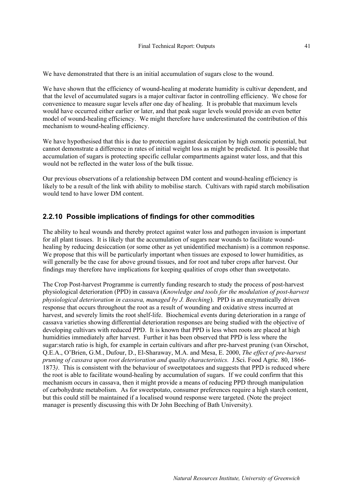We have demonstrated that there is an initial accumulation of sugars close to the wound.

We have shown that the efficiency of wound-healing at moderate humidity is cultivar dependent, and that the level of accumulated sugars is a major cultivar factor in controlling efficiency. We chose for convenience to measure sugar levels after one day of healing. It is probable that maximum levels would have occurred either earlier or later, and that peak sugar levels would provide an even better model of wound-healing efficiency. We might therefore have underestimated the contribution of this mechanism to wound-healing efficiency.

We have hypothesised that this is due to protection against desiccation by high osmotic potential, but cannot demonstrate a difference in rates of initial weight loss as might be predicted. It is possible that accumulation of sugars is protecting specific cellular compartments against water loss, and that this would not be reflected in the water loss of the bulk tissue.

Our previous observations of a relationship between DM content and wound-healing efficiency is likely to be a result of the link with ability to mobilise starch. Cultivars with rapid starch mobilisation would tend to have lower DM content.

### **2.2.10 Possible implications of findings for other commodities**

The ability to heal wounds and thereby protect against water loss and pathogen invasion is important for all plant tissues. It is likely that the accumulation of sugars near wounds to facilitate woundhealing by reducing desiccation (or some other as yet unidentified mechanism) is a common response. We propose that this will be particularly important when tissues are exposed to lower humidities, as will generally be the case for above ground tissues, and for root and tuber crops after harvest. Our findings may therefore have implications for keeping qualities of crops other than sweetpotato.

The Crop Post-harvest Programme is currently funding research to study the process of post-harvest physiological deterioration (PPD) in cassava (*Knowledge and tools for the modulation of post-harvest physiological deterioration in cassava, managed by J. Beeching*). PPD is an enzymatically driven response that occurs throughout the root as a result of wounding and oxidative stress incurred at harvest, and severely limits the root shelf-life. Biochemical events during deterioration in a range of cassava varieties showing differential deterioration responses are being studied with the objective of developing cultivars with reduced PPD. It is known that PPD is less when roots are placed at high humidities immediately after harvest. Further it has been observed that PPD is less where the sugar:starch ratio is high, for example in certain cultivars and after pre-harvest pruning (van Oirschot, Q.E.A., O'Brien, G.M., Dufour, D., El-Sharaway, M.A. and Mesa, E. 2000, *The effect of pre-harvest pruning of cassava upon root deterioration and quality characteristics.* J.Sci. Food Agric. 80, 1866- 1873*)*. This is consistent with the behaviour of sweetpotatoes and suggests that PPD is reduced where the root is able to facilitate wound-healing by accumulation of sugars. If we could confirm that this mechanism occurs in cassava, then it might provide a means of reducing PPD through manipulation of carbohydrate metabolism. As for sweetpotato, consumer preferences require a high starch content, but this could still be maintained if a localised wound response were targeted. (Note the project manager is presently discussing this with Dr John Beeching of Bath University).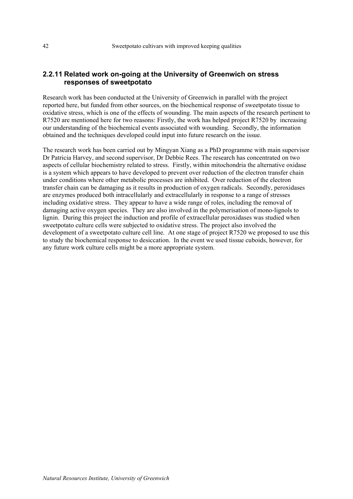### **2.2.11 Related work on-going at the University of Greenwich on stress responses of sweetpotato**

Research work has been conducted at the University of Greenwich in parallel with the project reported here, but funded from other sources, on the biochemical response of sweetpotato tissue to oxidative stress, which is one of the effects of wounding. The main aspects of the research pertinent to R7520 are mentioned here for two reasons: Firstly, the work has helped project R7520 by increasing our understanding of the biochemical events associated with wounding. Secondly, the information obtained and the techniques developed could input into future research on the issue.

The research work has been carried out by Mingyan Xiang as a PhD programme with main supervisor Dr Patricia Harvey, and second supervisor, Dr Debbie Rees. The research has concentrated on two aspects of cellular biochemistry related to stress. Firstly, within mitochondria the alternative oxidase is a system which appears to have developed to prevent over reduction of the electron transfer chain under conditions where other metabolic processes are inhibited. Over reduction of the electron transfer chain can be damaging as it results in production of oxygen radicals. Secondly, peroxidases are enzymes produced both intracellularly and extracellularly in response to a range of stresses including oxidative stress. They appear to have a wide range of roles, including the removal of damaging active oxygen species. They are also involved in the polymerisation of mono-lignols to lignin. During this project the induction and profile of extracellular peroxidases was studied when sweetpotato culture cells were subjected to oxidative stress. The project also involved the development of a sweetpotato culture cell line. At one stage of project R7520 we proposed to use this to study the biochemical response to desiccation. In the event we used tissue cuboids, however, for any future work culture cells might be a more appropriate system.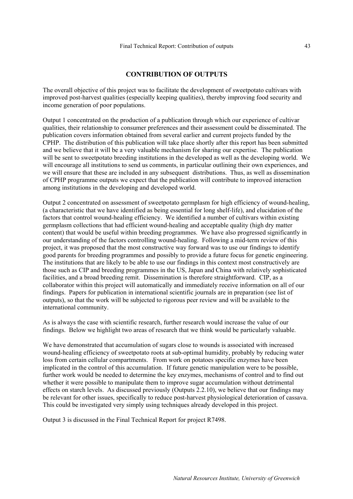#### **CONTRIBUTION OF OUTPUTS**

The overall objective of this project was to facilitate the development of sweetpotato cultivars with improved post-harvest qualities (especially keeping qualities), thereby improving food security and income generation of poor populations.

Output 1 concentrated on the production of a publication through which our experience of cultivar qualities, their relationship to consumer preferences and their assessment could be disseminated. The publication covers information obtained from several earlier and current projects funded by the CPHP. The distribution of this publication will take place shortly after this report has been submitted and we believe that it will be a very valuable mechanism for sharing our expertise. The publication will be sent to sweetpotato breeding institutions in the developed as well as the developing world. We will encourage all institutions to send us comments, in particular outlining their own experiences, and we will ensure that these are included in any subsequent distributions. Thus, as well as dissemination of CPHP programme outputs we expect that the publication will contribute to improved interaction among institutions in the developing and developed world.

Output 2 concentrated on assessment of sweetpotato germplasm for high efficiency of wound-healing, (a characteristic that we have identified as being essential for long shelf-life), and elucidation of the factors that control wound-healing efficiency. We identified a number of cultivars within existing germplasm collections that had efficient wound-healing and acceptable quality (high dry matter content) that would be useful within breeding programmes. We have also progressed significantly in our understanding of the factors controlling wound-healing. Following a mid-term review of this project, it was proposed that the most constructive way forward was to use our findings to identify good parents for breeding programmes and possibly to provide a future focus for genetic engineering. The institutions that are likely to be able to use our findings in this context most constructively are those such as CIP and breeding programmes in the US, Japan and China with relatively sophisticated facilities, and a broad breeding remit. Dissemination is therefore straightforward. CIP, as a collaborator within this project will automatically and immediately receive information on all of our findings. Papers for publication in international scientific journals are in preparation (see list of outputs), so that the work will be subjected to rigorous peer review and will be available to the international community.

As is always the case with scientific research, further research would increase the value of our findings. Below we highlight two areas of research that we think would be particularly valuable.

We have demonstrated that accumulation of sugars close to wounds is associated with increased wound-healing efficiency of sweetpotato roots at sub-optimal humidity, probably by reducing water loss from certain cellular compartments. From work on potatoes specific enzymes have been implicated in the control of this accumulation. If future genetic manipulation were to be possible, further work would be needed to determine the key enzymes, mechanisms of control and to find out whether it were possible to manipulate them to improve sugar accumulation without detrimental effects on starch levels. As discussed previously (Outputs 2.2.10), we believe that our findings may be relevant for other issues, specifically to reduce post-harvest physiological deterioration of cassava. This could be investigated very simply using techniques already developed in this project.

Output 3 is discussed in the Final Technical Report for project R7498.